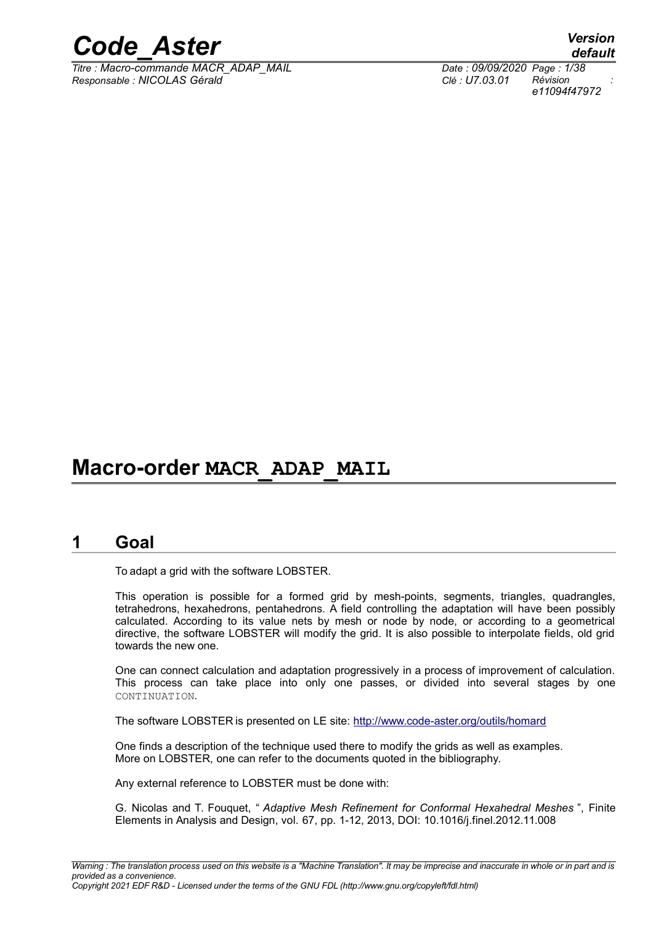

*Titre : Macro-commande MACR\_ADAP\_MAIL Date : 09/09/2020 Page : 1/38 Responsable : NICOLAS Gérald Clé : U7.03.01 Révision :*

*default e11094f47972*

# **Macro-order MACR\_ADAP\_MAIL**

# **1 Goal**

To adapt a grid with the software LOBSTER.

This operation is possible for a formed grid by mesh-points, segments, triangles, quadrangles, tetrahedrons, hexahedrons, pentahedrons. A field controlling the adaptation will have been possibly calculated. According to its value nets by mesh or node by node, or according to a geometrical directive, the software LOBSTER will modify the grid. It is also possible to interpolate fields, old grid towards the new one.

One can connect calculation and adaptation progressively in a process of improvement of calculation. This process can take place into only one passes, or divided into several stages by one CONTINUATION.

The software LOBSTER is presented on LE site:<http://www.code-aster.org/outils/homard>

One finds a description of the technique used there to modify the grids as well as examples. More on LOBSTER, one can refer to the documents quoted in the bibliography.

Any external reference to LOBSTER must be done with:

G. Nicolas and T. Fouquet, " *Adaptive Mesh Refinement for Conformal Hexahedral Meshes* ", Finite Elements in Analysis and Design, vol. 67, pp. 1-12, 2013, DOI: 10.1016/j.finel.2012.11.008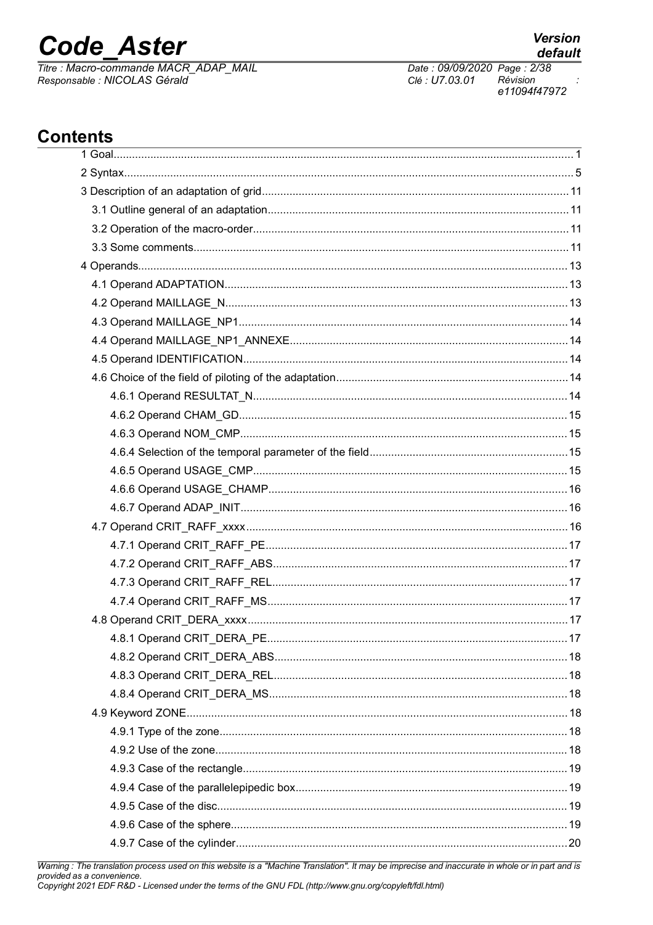# **Code Aster**

Titre : Macro-commande MACR\_ADAP\_MAIL Responsable : NICOLAS Gérald

Date: 09/09/2020 Page: 2/38 Clé : U7.03.01 Révision e11094f47972

# **Contents**

Warning : The translation process used on this website is a "Machine Translation". It may be imprecise and inaccurate in whole or in part and is provided as a convenience.<br>Copyright 2021 EDF R&D - Licensed under the terms of the GNU FDL (http://www.gnu.org/copyleft/fdl.html)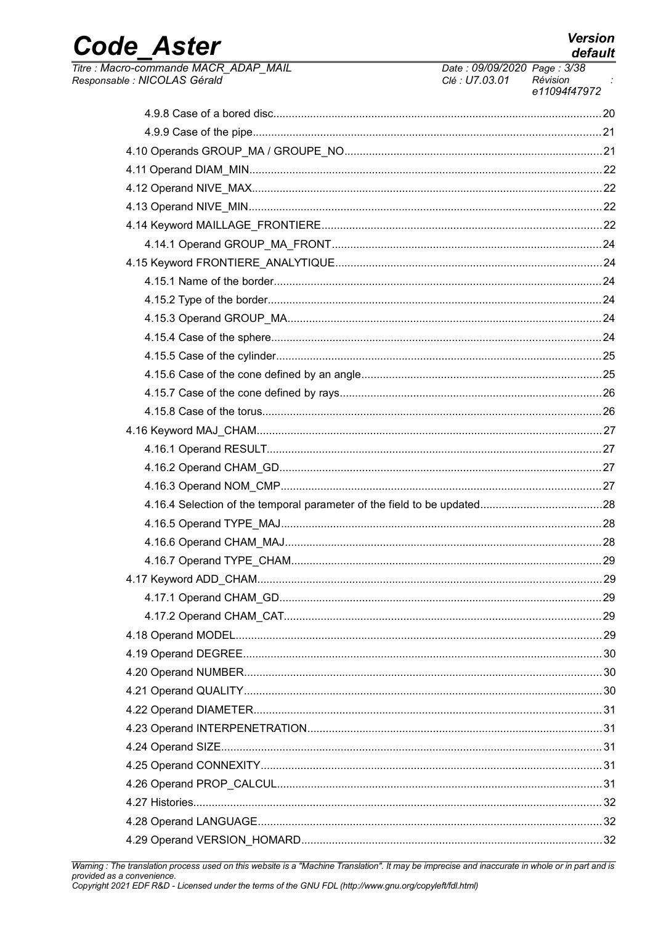| <b>COUL WOLL</b>                                                      | default                                                                   |
|-----------------------------------------------------------------------|---------------------------------------------------------------------------|
| Titre : Macro-commande MACR ADAP MAIL<br>Responsable : NICOLAS Gérald | Date: 09/09/2020 Page: 3/38<br>Révision<br>Clé : U7.03.01<br>e11094f47972 |
|                                                                       |                                                                           |
|                                                                       |                                                                           |
|                                                                       |                                                                           |
|                                                                       |                                                                           |
|                                                                       |                                                                           |
|                                                                       |                                                                           |
|                                                                       |                                                                           |
|                                                                       |                                                                           |
|                                                                       |                                                                           |
|                                                                       |                                                                           |
|                                                                       |                                                                           |
|                                                                       |                                                                           |
|                                                                       |                                                                           |
|                                                                       |                                                                           |
|                                                                       |                                                                           |
|                                                                       |                                                                           |
|                                                                       |                                                                           |
|                                                                       |                                                                           |
|                                                                       |                                                                           |
|                                                                       |                                                                           |
|                                                                       |                                                                           |
|                                                                       |                                                                           |
|                                                                       |                                                                           |
|                                                                       |                                                                           |
|                                                                       |                                                                           |
|                                                                       |                                                                           |
|                                                                       |                                                                           |
|                                                                       |                                                                           |
|                                                                       |                                                                           |
|                                                                       |                                                                           |
|                                                                       |                                                                           |
|                                                                       |                                                                           |
|                                                                       |                                                                           |
|                                                                       |                                                                           |
|                                                                       |                                                                           |
|                                                                       |                                                                           |
|                                                                       |                                                                           |
|                                                                       |                                                                           |
|                                                                       |                                                                           |
|                                                                       |                                                                           |

Code Actor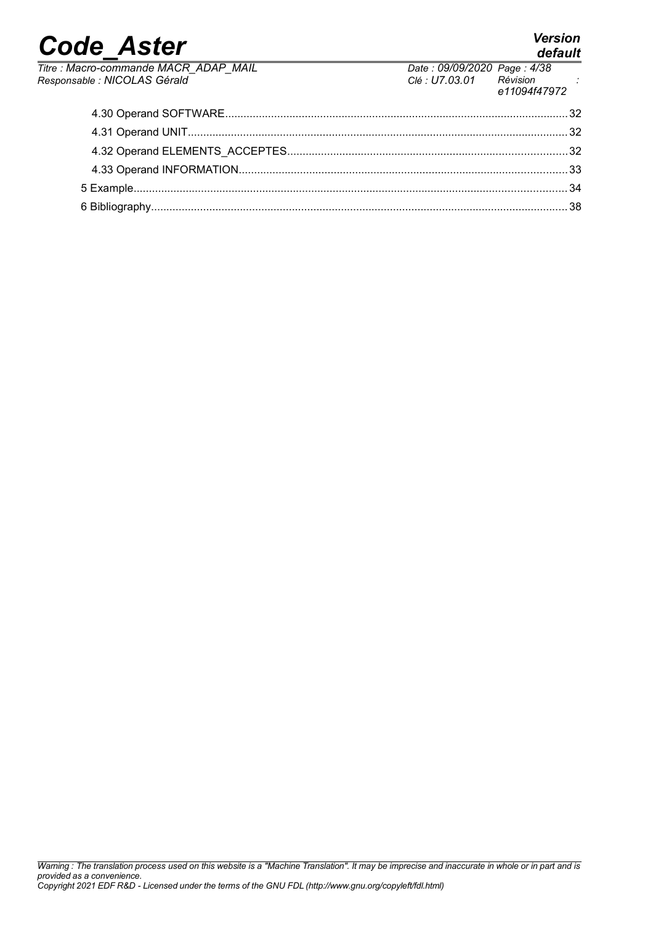| <b>Code Aster</b>                                                     | <b>Version</b><br>default                                                                                   |
|-----------------------------------------------------------------------|-------------------------------------------------------------------------------------------------------------|
| Titre : Macro-commande MACR_ADAP_MAIL<br>Responsable : NICOLAS Gérald | Date: 09/09/2020 Page: 4/38<br>Date : 03/03/2020 Faye : 4/00<br>Clé : U7.03.01 Révision : :<br>e11094f47972 |
|                                                                       |                                                                                                             |
|                                                                       |                                                                                                             |
|                                                                       |                                                                                                             |
|                                                                       |                                                                                                             |
|                                                                       |                                                                                                             |
|                                                                       |                                                                                                             |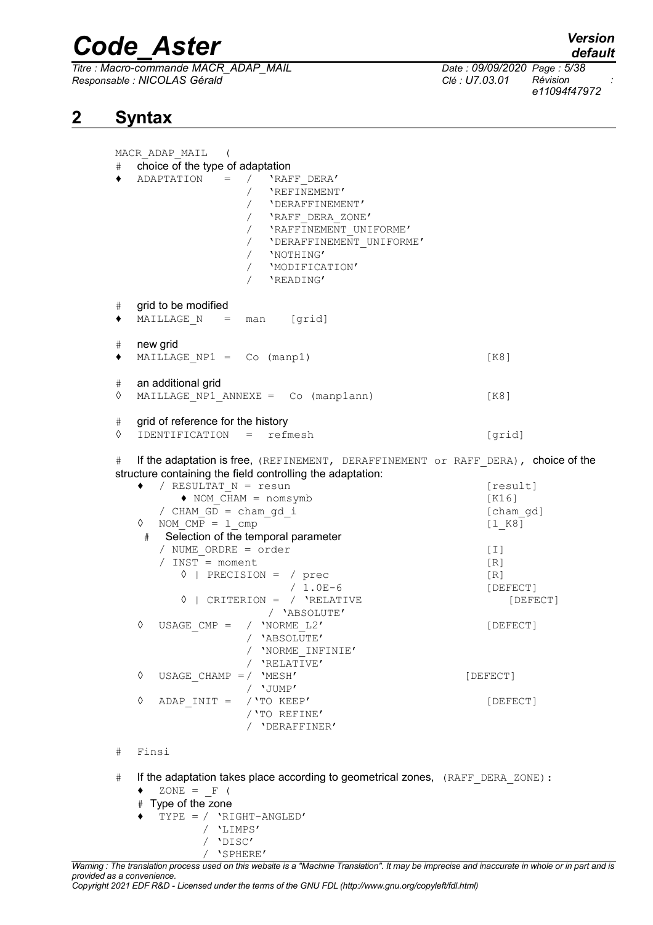*Titre : Macro-commande MACR\_ADAP\_MAIL Date : 09/09/2020 Page : 5/38 Responsable : NICOLAS Gérald Clé : U7.03.01 Révision :*

*e11094f47972*

# **2 Syntax**

MACR ADAP MAIL ( # choice of the type of adaptation ♦ ADAPTATION = / 'RAFF\_DERA' / 'REFINEMENT' / 'DERAFFINEMENT' / 'RAFF\_DERA\_ZONE' / **'RAFFINEMENT UNIFORME'** / 'DERAFFINEMENT\_UNIFORME' / 'NOTHING' / 'MODIFICATION' / 'READING' # grid to be modified ♦ MAILLAGE\_N = man [grid] # new grid ♦ MAILLAGE\_NP1 = Co (manp1) [K8] # an additional grid ◊ MAILLAGE\_NP1\_ANNEXE = Co (manp1ann) [K8] # grid of reference for the history ◊ IDENTIFICATION = refmesh [grid] # If the adaptation is free, (REFINEMENT, DERAFFINEMENT or RAFF DERA), choice of the structure containing the field controlling the adaptation: / RESULTAT N = resun [result]  $\blacklozenge$  NOM CHAM = nomsymb [K16] / CHAM  $GD = \text{cham gd}$  i [cham\_gd] NOM  $\text{CMP} = 1 \text{ cmp}$  [l K8] Selection of the temporal parameter / NUME ORDRE = order [I] / INST = moment [R]  $\Diamond$  | PRECISION = / prec [R] / 1.0E-6 [DEFECT] ◊ | CRITERION = / 'RELATIVE [DEFECT] / 'ABSOLUTE' ◊ USAGE\_CMP = / 'NORME\_L2' [DEFECT] / 'ABSOLUTE' / 'NORME\_INFINIE' / 'RELATIVE' ◊ USAGE\_CHAMP =/ 'MESH' [DEFECT] / 'JUMP'<br>/'TO KEEP' ◊ ADAP\_INIT = /'TO KEEP' [DEFECT] /'TO REFINE' / 'DERAFFINER' # Finsi # If the adaptation takes place according to geometrical zones, (RAFF\_DERA\_ZONE):  $\triangleleft$  ZONE = F ( # Type of the zone ♦ TYPE = / 'RIGHT-ANGLED' / 'LIMPS' / 'DISC'

*provided as a convenience. Copyright 2021 EDF R&D - Licensed under the terms of the GNU FDL (http://www.gnu.org/copyleft/fdl.html)*

*Warning : The translation process used on this website is a "Machine Translation". It may be imprecise and inaccurate in whole or in part and is*

/ 'SPHERE'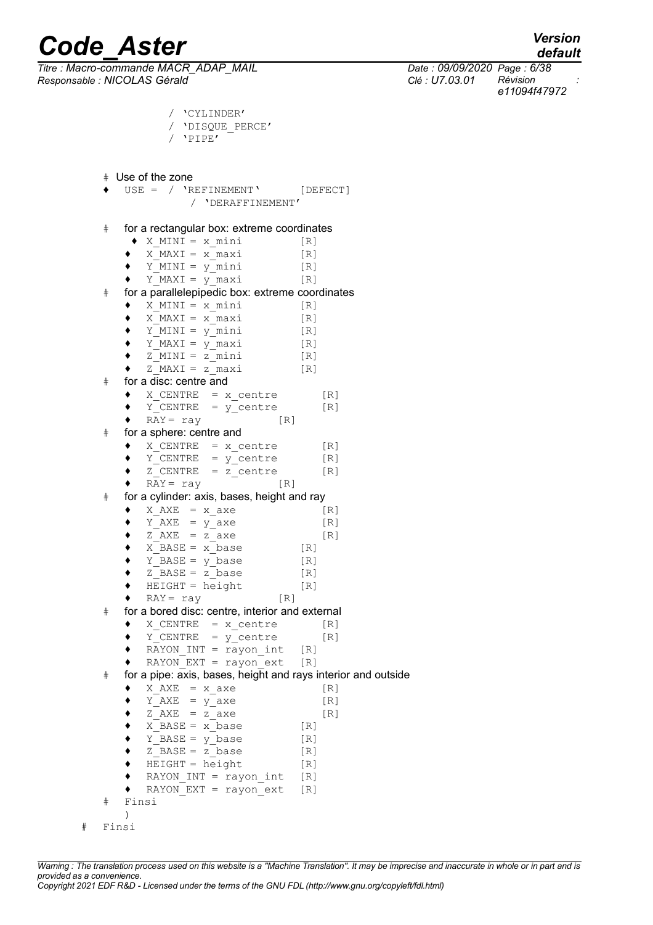*default*

*Titre : Macro-commande MACR\_ADAP\_MAIL Date : 09/09/2020 Page : 6/38 Responsable : NICOLAS Gérald Clé : U7.03.01 Révision :*

*e11094f47972*

```
/ 'CYLINDER'
/ 'DISQUE_PERCE'
/ 'PIPE'
```
- # Use of the zone
- ♦ USE = / 'REFINEMENT' [DEFECT] / 'DERAFFINEMENT'

#### # for a rectangular box: extreme coordinates

- $\triangleleft$  X\_MINI = x\_mini [R]  $\bullet$  X MAXI = x maxi [R]  $\blacklozenge$   $\Upsilon$ <sup>-</sup>MINI = y mini [R] ♦ Y\_MAXI = y\_maxi [R] # for a parallelepipedic box: extreme coordinates  $\bullet$  X MINI = x mini [R]  $X$ MAXI =  $X$ maxi [R]  $Y$ <sup>-</sup>MINI =  $Y$ <sup>-</sup>mini [R]  $Y$ MAXI =  $Y$ maxi [R]  $\bullet$  Z MINI = z mini [R]  $\bullet$   $\overline{Z}$  MAXI =  $\overline{Z}$  maxi [R] # for a disc: centre and  $\bullet$  X\_CENTRE =  $x$ \_centre [R] ♦ Y\_CENTRE = y\_centre [R]  $\bullet$  RAY = ray [R] # for a sphere: centre and  $\blacklozenge$  X CENTRE = x centre [R]  $Y_CENTRE = Y_Centre$  [R] ♦ Z\_CENTRE = z\_centre [R]  $\blacklozenge$  RAY = ray [R] # for a cylinder: axis, bases, height and ray  $\bullet$  X\_AXE = x\_axe [R]  $\blacklozenge$  Y\_AXE = y\_axe [R]  $\bullet$  Z\_AXE = z\_axe [R]  $X$ BASE =  $X$ base [R] ♦ Y\_BASE = y\_base [R]  $\bullet$  Z\_BASE = z base ♦ HEIGHT = height [R]  $\triangle$  RAY = ray [R] # for a bored disc: centre, interior and external  $\bullet$  X CENTRE =  $x$ <sub>centre</sub> [R]  $\blacklozenge$  Y CENTRE = y centre [R] ♦ RAYON\_INT = rayon\_int [R] RAYON EXT = rayon ext  $[R]$ # for a pipe: axis, bases, height and rays interior and outside  $\bullet$  X AXE = x axe [R]  $Y$  AXE =  $y$  axe [R]  $Z$ <sup>-</sup>AXE =  $Z$ <sup>-</sup>axe [R]  $X$ BASE =  $X$ base [R]  $Y$ BASE = y base [R]  $Z$ BASE =  $Z$ base [R]  $HEIGHT = height$  [R] ♦ RAYON\_INT = rayon\_int [R]  $\triangleleft$  RAYON EXT = rayon ext [R] # Finsi ) # Finsi
- 

*Warning : The translation process used on this website is a "Machine Translation". It may be imprecise and inaccurate in whole or in part and is provided as a convenience.*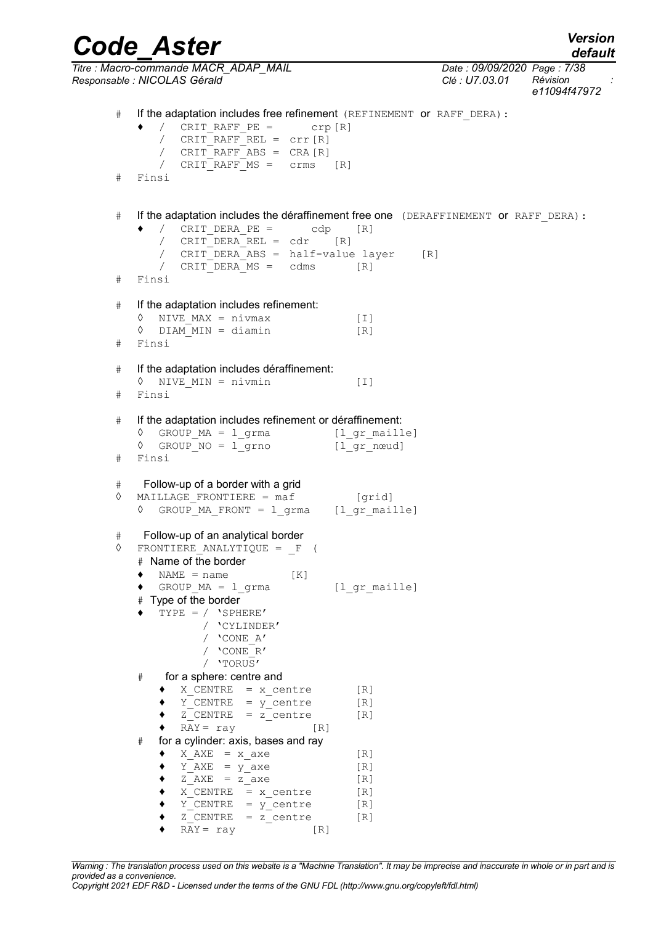*default*

*Code\_Aster Version Titre : Macro-commande MACR\_ADAP\_MAIL Date : 09/09/2020 Page : 7/38 Responsable : NICOLAS Gérald Clé : U7.03.01 Révision :*

*e11094f47972*

```
# If the adaptation includes free refinement (REFINEMENT or RAFF DERA) :
             \bullet / CRIT_RAFF_PE = crp [R]
                  / CRIT"RAFF" REL = <math>ctr</math> [R]/ CRIT"RAFF"ABS = CRA [R]/ CRITRAFFMS = crms [R]
         # Finsi
         # If the adaptation includes the déraffinement free one (DERAFFINEMENT or RAFF DERA):
             ♦ / CRIT_DERA_PE = cdp [R]
                  / CRIT DERA REL = cdr [R]
                  / CRIT DERA ABS = half-value layer [R]/ CRIT DERA MS = cdms [R]
         # Finsi
         # If the adaptation includes refinement:
             \Diamond NIVE MAX = nivmax [I]
             \Diamond DIAM MIN = diamin [R]
         # Finsi
         # If the adaptation includes déraffinement:
             ◊ NIVE_MIN = nivmin [I]
         # Finsi
         # If the adaptation includes refinement or déraffinement:
             ◊ GROUP_MA = l_grma [l_gr_maille]
             ◊ GROUP_NO = l_grno [l_gr_nœud]
         # Finsi
         # Follow-up of a border with a grid
         ◊ MAILLAGE_FRONTIERE = maf [grid]
             ◊ GROUP_MA_FRONT = l_grma [l_gr_maille]
         # Follow-up of an analytical border
         ◊ FRONTIERE_ANALYTIQUE = _F (
             # Name of the border
             \bullet NAME = name [K]
             ♦ GROUP_MA = l_grma [l_gr_maille]
             # Type of the border
             \triangleleft TYPE = / 'SPHERE'
                           / 'CYLINDER'
                           / 'CONE_A'
                           / 'CONE_R'
                           / 'TORUS'
             # for a sphere: centre and
                  \blacklozenge X CENTRE = x centre [R]
                  ♦ Y_CENTRE = y_centre [R]
                  ♦ Z_CENTRE = z_centre [R]
                  \overline{R}Y = ray [R]
             # for a cylinder: axis, bases and ray
                  \bullet X AXE = x axe [R]
                  \blacklozenge \blacktriangleright \blacktriangleright \blacktriangleleft \blacktriangleright \blacktriangleright \blacktriangleright \blacktriangleright \blacktriangleright \blacktriangleright \blacktriangleright \blacktriangleright \blacktriangleright \blacktriangleright \blacktriangleright \blacktriangleright \blacktriangleright \blacktriangleright \blacktriangleright \blacktriangleright \blacktriangleright \blacktriangleright \blacktriangleright \blacktriangleright \blacktriangleright \blacktriangleright \blacktriangleright \blacktrianglerightZ AXE = z axe [R]X CENTRE = x centre [R]
                  \blacklozenge Y_CENTRE = y_centre [R]
                     Z<sup>CENTRE</sup> = z<sup>centre</sup> [R]
                    \overline{RAY} = \text{ray} [R]
Warning : The translation process used on this website is a "Machine Translation". It may be imprecise and inaccurate in whole or in part and is
provided as a convenience.
```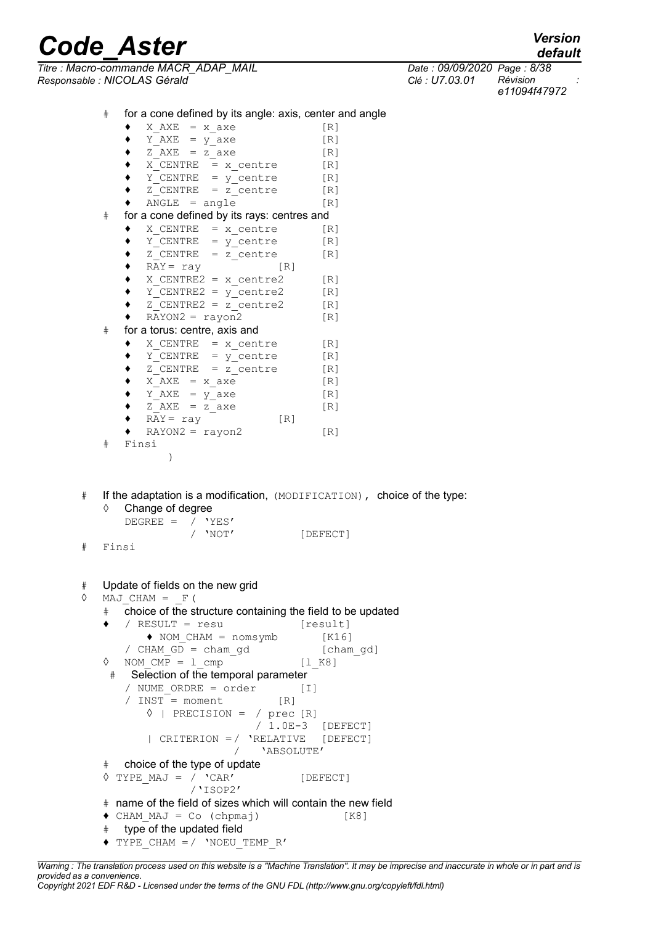| Titre : Macro-commande MACR ADAP MAIL | Date: 09/09/2020 Page: 8 |          |
|---------------------------------------|--------------------------|----------|
| Responsable : NICOLAS Gérald          | Clé : U7.03.01           | Révision |

*Titre : Macro-commande MACR\_ADAP\_MAIL Date : 09/09/2020 Page : 8/38 e11094f47972*

 $\bullet$  X AXE = x axe [R]  $\bullet$  Y AXE = y axe [R]  $Z$ <sup>-</sup>AXE = z<sup>--</sup>axe [R]<br>X CENTRE = x centre [R]  $X$  CENTRE =  $x$  centre  $Y$ <sup>-CENTRE</sup> = y\_centre [R]<br>  $Z$ <sup>-CENTRE</sup> = z\_centre [R]<br>  $X$ <sub>NGLE</sub> = 2<sup>-2</sup>  $Z$  CENTRE =  $Z$  centre  $\bullet$  ANGLE = angle [R] # for a cone defined by its rays: centres and  $\blacklozenge$  X CENTRE = x centre [R]  $\blacklozenge$  Y\_CENTRE =  $y$ \_centre [R]  $\div$  Z\_CENTRE = z\_centre [R]  $RAY = ray$  [R]  $X$  CENTRE2 =  $x$  centre2 [R]  $\bullet$  Y\_CENTRE2 = y\_centre2 [R]  $\bullet$  Z CENTRE2 = z centre2 [R]  $\sqrt{PRAYON2} = rayon2$  [R] # for a torus: centre, axis and  $\blacklozenge$  X CENTRE = x centre [R]  $Y$  CENTRE =  $Y$  centre [R]  $Z$  CENTRE =  $Z$  centre [R]  $X$ <sup>-</sup>AXE = x axe [R]  $Y$ <sup>-</sup>AXE =  $Y$ <sup>-</sup>axe [R]  $Z$ <sup> $Z$ </sup>AXE =  $Z$ <sup> $Z$ </sup> axe [R]  $R$ <sup>3</sup>  $R$ <sup>3</sup>  $R$ <sup>3</sup>  $R$ <sup>3</sup>  $R$ <sup>3</sup>  $R$ <sup>3</sup>  $R$ <sup>3</sup>  $R$ <sup>3</sup>  $R$ <sup>3</sup>  $R$ <sup>3</sup>  $R$ <sup>3</sup>  $R$ <sup>3</sup>  $R$ <sup>3</sup>  $R$ <sup>3</sup>  $R$ <sup>3</sup>  $R$ <sup>3</sup>  $R$ <sup>3</sup>  $R$ <sup>3</sup>  $R$ <sup>3</sup>  $R$ <sup>3</sup>  $R$ <sup>3</sup>  $R$ <sup>3</sup>  $R$ <sup>3</sup>  $R$ <sup>3</sup>  $R$ <sup>3</sup>  $R$ <sup>3</sup>  $R$ <sup>3</sup>  $RAY = ray$ ♦ RAYON2 = rayon2 [R] # Finsi ) # If the adaptation is a modification, (MODIFICATION), choice of the type: Change of degree  $\begin{array}{cccc}\n\text{DEGREE} & = & / & \text{YES'} \\
 & / & \text{NOT'}\n\end{array}$ [DEFECT] # Finsi # Update of fields on the new grid  $\Diamond$  MAJ CHAM =  $\ F$  ( # choice of the structure containing the field to be updated ◆ / RESULT = resu  $[result]$ <br>
◆ NOM\_CHAM = nomsymb  $[K16]$  $\triangleleft$  NOM CHAM = nomsymb  $\sqrt{CHAM_GD} = \text{cham}_Gd$  [ $\text{cham}_Gd$ ]  $\Diamond$  NOM CMP = 1 cmp [1 K8] Selection of the temporal parameter / NUME\_ORDRE = order [I]  $/$  INST = moment  $\Diamond$  | PRECISION = / prec [R] / 1.0E-3 [DEFECT] | CRITERION =/  $'$ RELATIVE [DEFECT]<br>|  $'$ ABSOLUTE' / 'ABSOLUTE' # choice of the type of update  $\Diamond$  TYPE MAJ = / 'CAR' [DEFECT] /'ISOP2' # name of the field of sizes which will contain the new field ♦ CHAM\_MAJ = Co (chpmaj) [K8] # type of the updated field  $\blacklozenge$  TYPE CHAM =/ 'NOEU TEMP R'

*Warning : The translation process used on this website is a "Machine Translation". It may be imprecise and inaccurate in whole or in part and is provided as a convenience. Copyright 2021 EDF R&D - Licensed under the terms of the GNU FDL (http://www.gnu.org/copyleft/fdl.html)*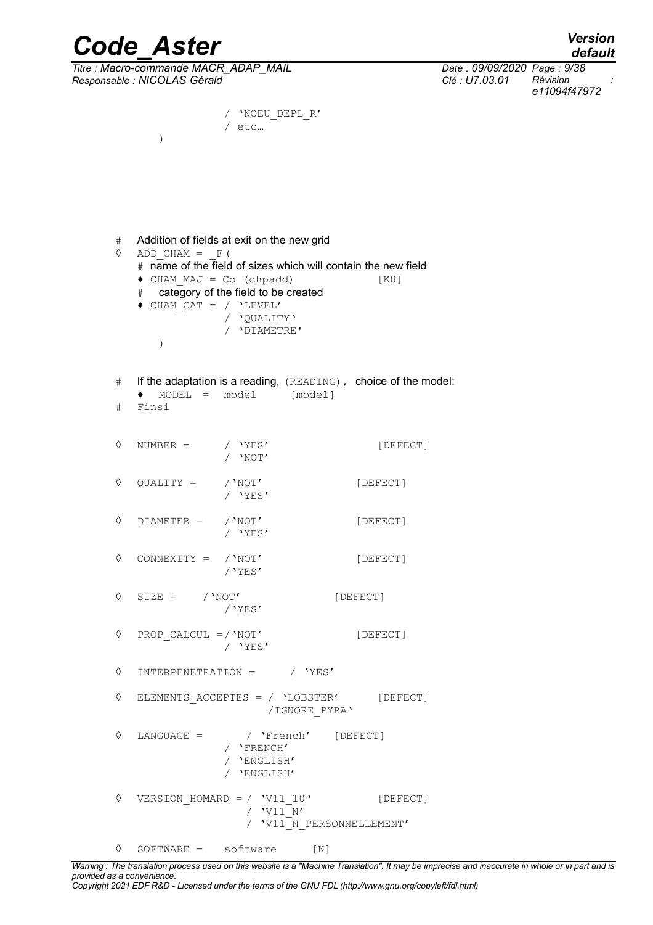)

*Titre : Macro-commande MACR\_ADAP\_MAIL Date : 09/09/2020 Page : 9/38 Responsable : NICOLAS Gérald Clé : U7.03.01 Révision :*

*default e11094f47972*

```
/ 'NOEU_DEPL_R' 
/ etc…
```

```
# Addition of fields at exit on the new grid
```

```
\Diamond ADD CHAM = \ F(# name of the field of sizes which will contain the new field
   \bullet CHAM MAJ = Co (chpadd) [K8]
   # category of the field to be created
   ♦ CHAM_CAT = / 'LEVEL'
               / 'QUALITY'
               / 'DIAMETRE'
      )
# If the adaptation is a reading, (READING), choice of the model:
   ♦ MODEL = model [model]
# Finsi
\Diamond NUMBER = / 'YES' [DEFECT]
               / 'NOT'
◊ QUALITY = /'NOT' [DEFECT]
               / 'YES'
◊ DIAMETER = /'NOT' [DEFECT]
               / 'YES'
◊ CONNEXITY = /'NOT' [DEFECT]
               /'YES'
\Diamond SIZE = / 'NOT' [DEFECT]
               /'YES'
◊ PROP_CALCUL =/'NOT' [DEFECT]
               / 'YES'
◊ INTERPENETRATION = / 'YES'
◊ ELEMENTS_ACCEPTES = / 'LOBSTER' [DEFECT]
                     /IGNORE_PYRA'
◊ LANGUAGE = / 'French' [DEFECT]
               / 'FRENCH'
               / 'ENGLISH'
               / 'ENGLISH'
\sqrt{VERSION HOMARD} = / V11 10' [DEFECT]
                  / \text{V11}^-N'
                  / 'V11<sup>-</sup>N PERSONNELLEMENT'
◊ SOFTWARE = software [K]
```
*Warning : The translation process used on this website is a "Machine Translation". It may be imprecise and inaccurate in whole or in part and is provided as a convenience.*

*Copyright 2021 EDF R&D - Licensed under the terms of the GNU FDL (http://www.gnu.org/copyleft/fdl.html)*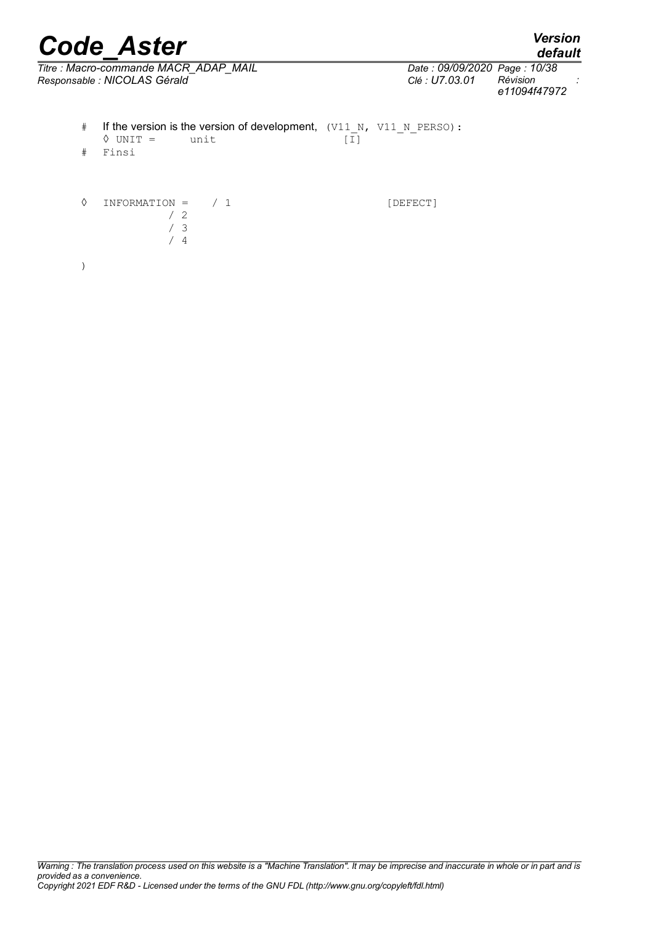)

*default*

*Titre : Macro-commande MACR\_ADAP\_MAIL Date : 09/09/2020 Page : 10/38 Responsable : NICOLAS Gérald Clé : U7.03.01 Révision :*

*e11094f47972*

# If the version is the version of development, (V11\_N, V11\_N\_PERSO):  $\Diamond$  UNIT = unit  $\boxed{1}$ # Finsi  $\Diamond$  INFORMATION =  $/ 1$  [DEFECT] / 2 / 3  $/4$ 

*Warning : The translation process used on this website is a "Machine Translation". It may be imprecise and inaccurate in whole or in part and is provided as a convenience. Copyright 2021 EDF R&D - Licensed under the terms of the GNU FDL (http://www.gnu.org/copyleft/fdl.html)*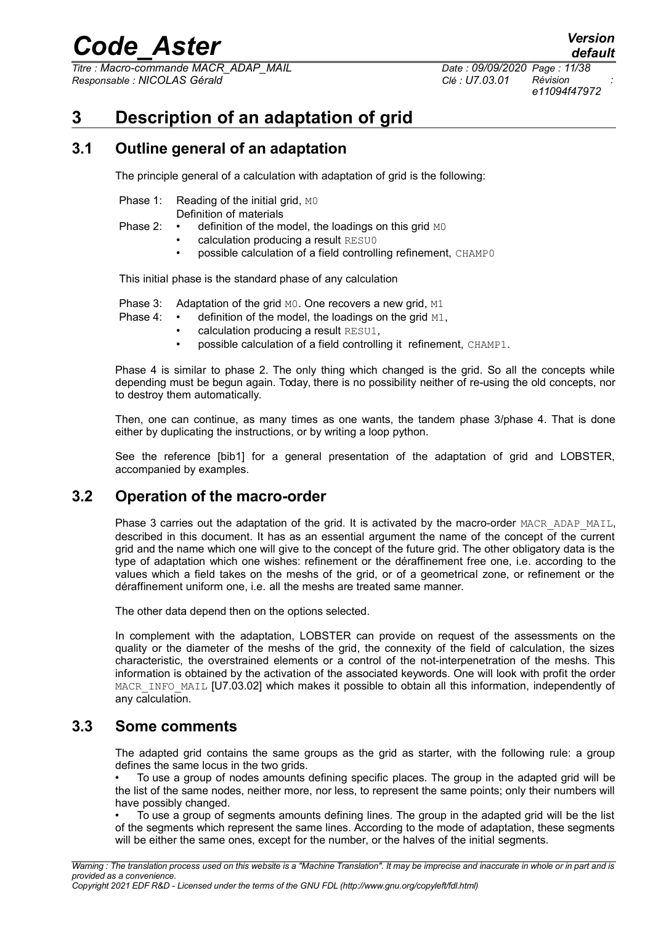*Titre : Macro-commande MACR\_ADAP\_MAIL Date : 09/09/2020 Page : 11/38 Responsable : NICOLAS Gérald Clé : U7.03.01 Révision :*

*e11094f47972*

# **3 Description of an adaptation of grid**

# **3.1 Outline general of an adaptation**

The principle general of a calculation with adaptation of grid is the following:

| Phase 1: | Reading of the initial grid, MO |  |
|----------|---------------------------------|--|
|----------|---------------------------------|--|

- Definition of materials
- Phase 2: definition of the model, the loadings on this grid MO
	- calculation producing a result RESU0
	- possible calculation of a field controlling refinement, CHAMP0

This initial phase is the standard phase of any calculation

- Phase 3: Adaptation of the grid M0. One recovers a new grid, M1
- Phase 4: definition of the model, the loadings on the grid M1,
	- calculation producing a result RESU1,
	- possible calculation of a field controlling it refinement, CHAMP1.

Phase 4 is similar to phase 2. The only thing which changed is the grid. So all the concepts while depending must be begun again. Today, there is no possibility neither of re-using the old concepts, nor to destroy them automatically.

Then, one can continue, as many times as one wants, the tandem phase 3/phase 4. That is done either by duplicating the instructions, or by writing a loop python.

See the reference [bib1] for a general presentation of the adaptation of grid and LOBSTER, accompanied by examples.

# **3.2 Operation of the macro-order**

Phase 3 carries out the adaptation of the grid. It is activated by the macro-order MACR\_ADAP\_MAIL, described in this document. It has as an essential argument the name of the concept of the current grid and the name which one will give to the concept of the future grid. The other obligatory data is the type of adaptation which one wishes: refinement or the déraffinement free one, i.e. according to the values which a field takes on the meshs of the grid, or of a geometrical zone, or refinement or the déraffinement uniform one, i.e. all the meshs are treated same manner.

The other data depend then on the options selected.

In complement with the adaptation, LOBSTER can provide on request of the assessments on the quality or the diameter of the meshs of the grid, the connexity of the field of calculation, the sizes characteristic, the overstrained elements or a control of the not-interpenetration of the meshs. This information is obtained by the activation of the associated keywords. One will look with profit the order MACR\_INFO\_MAIL [U7.03.02] which makes it possible to obtain all this information, independently of any calculation.

# **3.3 Some comments**

The adapted grid contains the same groups as the grid as starter, with the following rule: a group defines the same locus in the two grids.

• To use a group of nodes amounts defining specific places. The group in the adapted grid will be the list of the same nodes, neither more, nor less, to represent the same points; only their numbers will have possibly changed.

• To use a group of segments amounts defining lines. The group in the adapted grid will be the list of the segments which represent the same lines. According to the mode of adaptation, these segments will be either the same ones, except for the number, or the halves of the initial segments.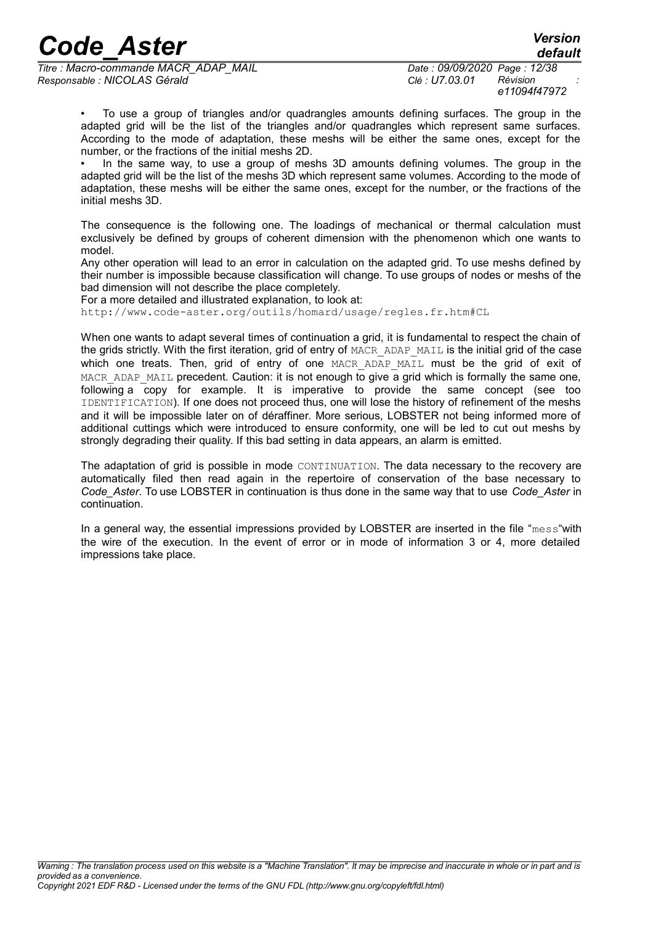*Titre : Macro-commande MACR\_ADAP\_MAIL Date : 09/09/2020 Page : 12/38 Responsable : NICOLAS Gérald Clé : U7.03.01 Révision :*

*default*

• To use a group of triangles and/or quadrangles amounts defining surfaces. The group in the adapted grid will be the list of the triangles and/or quadrangles which represent same surfaces. According to the mode of adaptation, these meshs will be either the same ones, except for the number, or the fractions of the initial meshs 2D.

• In the same way, to use a group of meshs 3D amounts defining volumes. The group in the adapted grid will be the list of the meshs 3D which represent same volumes. According to the mode of adaptation, these meshs will be either the same ones, except for the number, or the fractions of the initial meshs 3D.

The consequence is the following one. The loadings of mechanical or thermal calculation must exclusively be defined by groups of coherent dimension with the phenomenon which one wants to model.

Any other operation will lead to an error in calculation on the adapted grid. To use meshs defined by their number is impossible because classification will change. To use groups of nodes or meshs of the bad dimension will not describe the place completely.

For a more detailed and illustrated explanation, to look at:

http://www.code-aster.org/outils/homard/usage/regles.fr.htm#CL

When one wants to adapt several times of continuation a grid, it is fundamental to respect the chain of the grids strictly. With the first iteration, grid of entry of MACR\_ADAP\_MAIL is the initial grid of the case which one treats. Then, grid of entry of one MACR ADAP MAIL must be the grid of exit of MACR ADAP MAIL precedent. Caution: it is not enough to give a grid which is formally the same one, following a copy for example. It is imperative to provide the same concept (see too IDENTIFICATION). If one does not proceed thus, one will lose the history of refinement of the meshs and it will be impossible later on of déraffiner. More serious, LOBSTER not being informed more of additional cuttings which were introduced to ensure conformity, one will be led to cut out meshs by strongly degrading their quality. If this bad setting in data appears, an alarm is emitted.

The adaptation of grid is possible in mode CONTINUATION. The data necessary to the recovery are automatically filed then read again in the repertoire of conservation of the base necessary to *Code\_Aster*. To use LOBSTER in continuation is thus done in the same way that to use *Code\_Aster* in continuation.

In a general way, the essential impressions provided by LOBSTER are inserted in the file "mess"with the wire of the execution. In the event of error or in mode of information 3 or 4, more detailed impressions take place.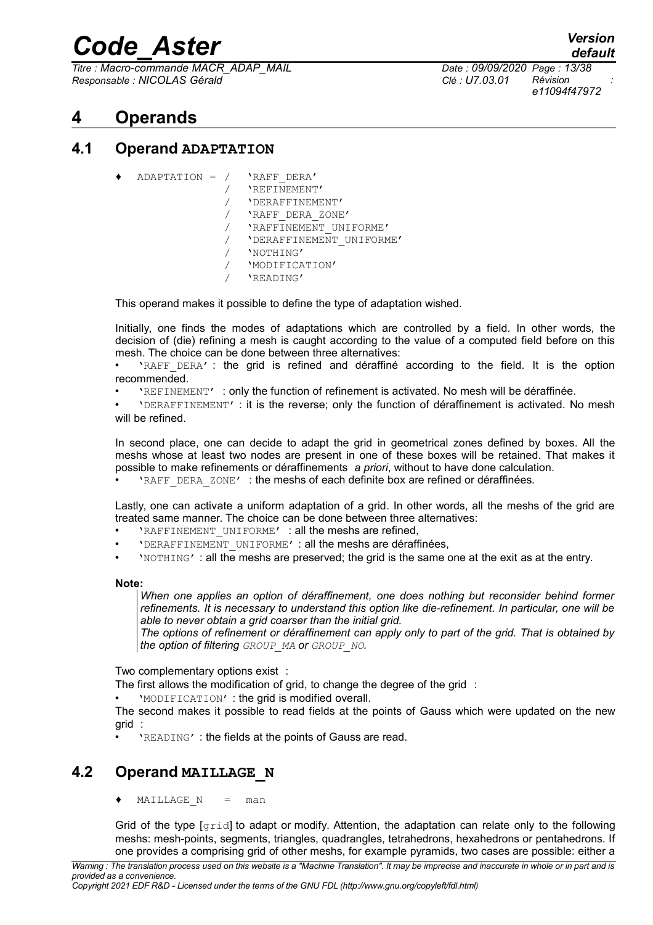*Titre : Macro-commande MACR\_ADAP\_MAIL Date : 09/09/2020 Page : 13/38 Responsable : NICOLAS Gérald Clé : U7.03.01 Révision :*

*default e11094f47972*

# **4 Operands**

# **4.1 Operand ADAPTATION**

- ♦ ADAPTATION = / 'RAFF\_DERA' / 'REFINEMENT'
	- / 'DERAFFINEMENT'
	- / 'RAFF\_DERA\_ZONE'
	- / 'RAFFINEMENT UNIFORME'
	- / 'DERAFFINEMENT\_UNIFORME'
	- / 'NOTHING'
	- / 'MODIFICATION'
	- / 'READING'

This operand makes it possible to define the type of adaptation wished.

Initially, one finds the modes of adaptations which are controlled by a field. In other words, the decision of (die) refining a mesh is caught according to the value of a computed field before on this mesh. The choice can be done between three alternatives:

• 'RAFF DERA' : the grid is refined and déraffiné according to the field. It is the option recommended.

• 'REFINEMENT' : only the function of refinement is activated. No mesh will be déraffinée.

• 'DERAFFINEMENT' : it is the reverse; only the function of déraffinement is activated. No mesh will be refined.

In second place, one can decide to adapt the grid in geometrical zones defined by boxes. All the meshs whose at least two nodes are present in one of these boxes will be retained. That makes it possible to make refinements or déraffinements *a priori*, without to have done calculation.

'RAFF\_DERA\_ZONE' : the meshs of each definite box are refined or déraffinées.

Lastly, one can activate a uniform adaptation of a grid. In other words, all the meshs of the grid are treated same manner. The choice can be done between three alternatives:

- 'RAFFINEMENT UNIFORME' : all the meshs are refined,
- 'DERAFFINEMENT\_UNIFORME' : all the meshs are déraffinées,
- 'NOTHING' : all the meshs are preserved; the grid is the same one at the exit as at the entry.

**Note:**

*When one applies an option of déraffinement, one does nothing but reconsider behind former refinements. It is necessary to understand this option like die-refinement. In particular, one will be able to never obtain a grid coarser than the initial grid.*

*The options of refinement or déraffinement can apply only to part of the grid. That is obtained by the option of filtering GROUP\_MA or GROUP\_NO.*

Two complementary options exist :

The first allows the modification of grid, to change the degree of the grid:

• 'MODIFICATION' : the grid is modified overall.

The second makes it possible to read fields at the points of Gauss which were updated on the new grid :

• 'READING' : the fields at the points of Gauss are read.

# **4.2 Operand MAILLAGE\_N**

 $MAILLAGE N = man$ 

Grid of the type  $\lceil \text{grid} \rceil$  to adapt or modify. Attention, the adaptation can relate only to the following meshs: mesh-points, segments, triangles, quadrangles, tetrahedrons, hexahedrons or pentahedrons. If one provides a comprising grid of other meshs, for example pyramids, two cases are possible: either a

*Copyright 2021 EDF R&D - Licensed under the terms of the GNU FDL (http://www.gnu.org/copyleft/fdl.html)*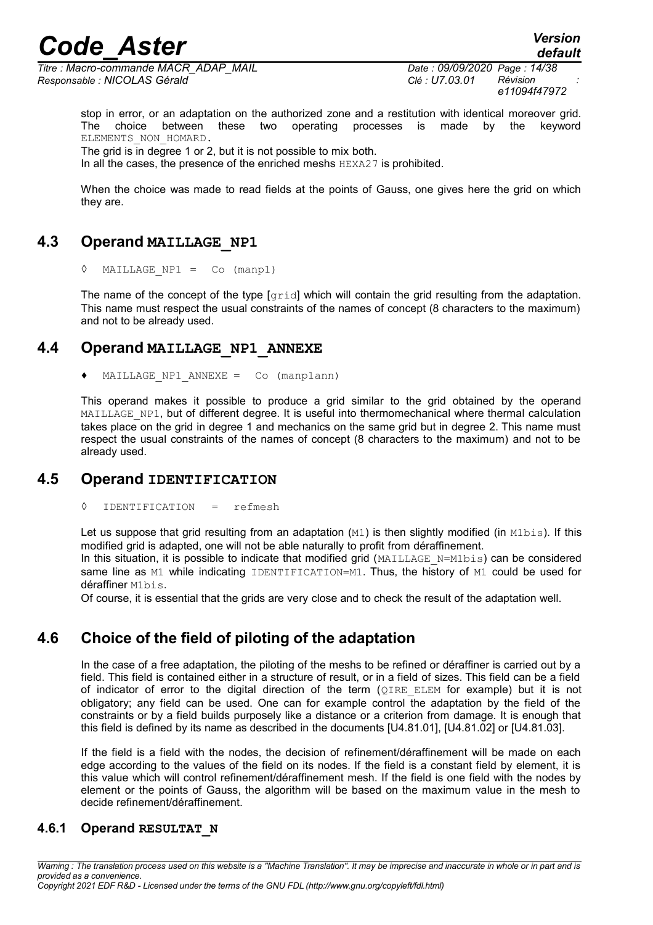*Titre : Macro-commande MACR\_ADAP\_MAIL Date : 09/09/2020 Page : 14/38 Responsable : NICOLAS Gérald Clé : U7.03.01 Révision :*

*e11094f47972*

*default*

stop in error, or an adaptation on the authorized zone and a restitution with identical moreover grid. The choice between these two operating processes is made by the keyword ELEMENTS NON HOMARD. The grid is in degree 1 or 2, but it is not possible to mix both.

In all the cases, the presence of the enriched meshs HEXA27 is prohibited.

When the choice was made to read fields at the points of Gauss, one gives here the grid on which they are.

# **4.3 Operand MAILLAGE\_NP1**

 $\Diamond$  MAILLAGE NP1 = Co (manp1)

The name of the concept of the type  $\lceil \text{grid} \rceil$  which will contain the grid resulting from the adaptation. This name must respect the usual constraints of the names of concept (8 characters to the maximum) and not to be already used.

# **4.4 Operand MAILLAGE\_NP1\_ANNEXE**

 $\triangleleft$  MAILLAGE NP1 ANNEXE = Co (manp1ann)

This operand makes it possible to produce a grid similar to the grid obtained by the operand MAILLAGE\_NP1, but of different degree. It is useful into thermomechanical where thermal calculation takes place on the grid in degree 1 and mechanics on the same grid but in degree 2. This name must respect the usual constraints of the names of concept (8 characters to the maximum) and not to be already used.

# **4.5 Operand IDENTIFICATION**

◊ IDENTIFICATION = refmesh

Let us suppose that grid resulting from an adaptation  $(M1)$  is then slightly modified (in  $M1bis$ ). If this modified grid is adapted, one will not be able naturally to profit from déraffinement. In this situation, it is possible to indicate that modified grid (MAILLAGE\_N=M1bis) can be considered

same line as M1 while indicating IDENTIFICATION=M1. Thus, the history of M1 could be used for déraffiner M1bis.

Of course, it is essential that the grids are very close and to check the result of the adaptation well.

# **4.6 Choice of the field of piloting of the adaptation**

In the case of a free adaptation, the piloting of the meshs to be refined or déraffiner is carried out by a field. This field is contained either in a structure of result, or in a field of sizes. This field can be a field of indicator of error to the digital direction of the term  $(QIRE$  ELEM for example) but it is not obligatory; any field can be used. One can for example control the adaptation by the field of the constraints or by a field builds purposely like a distance or a criterion from damage. It is enough that this field is defined by its name as described in the documents [U4.81.01], [U4.81.02] or [U4.81.03].

If the field is a field with the nodes, the decision of refinement/déraffinement will be made on each edge according to the values of the field on its nodes. If the field is a constant field by element, it is this value which will control refinement/déraffinement mesh. If the field is one field with the nodes by element or the points of Gauss, the algorithm will be based on the maximum value in the mesh to decide refinement/déraffinement.

# **4.6.1 Operand RESULTAT\_N**

*Warning : The translation process used on this website is a "Machine Translation". It may be imprecise and inaccurate in whole or in part and is provided as a convenience.*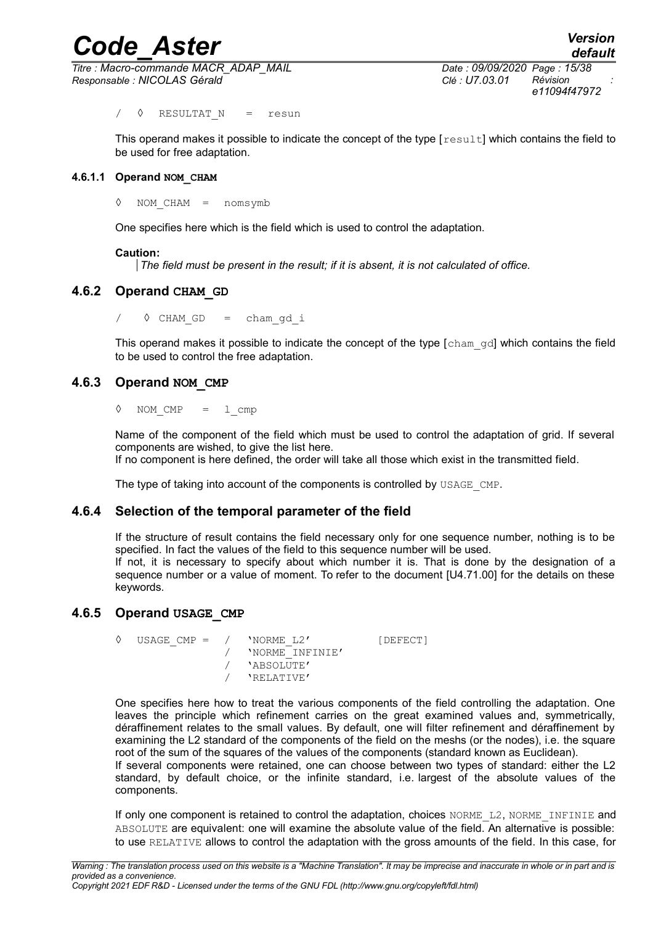*Titre : Macro-commande MACR\_ADAP\_MAIL Date : 09/09/2020 Page : 15/38 Responsable : NICOLAS Gérald Clé : U7.03.01 Révision :*

*e11094f47972*

/ ◊ RESULTAT\_N = resun

This operand makes it possible to indicate the concept of the type [result] which contains the field to be used for free adaptation.

#### **4.6.1.1 Operand NOM\_CHAM**

◊ NOM\_CHAM = nomsymb

One specifies here which is the field which is used to control the adaptation.

#### **Caution:**

*The field must be present in the result; if it is absent, it is not calculated of office.*

## **4.6.2 Operand CHAM\_GD**

 $\sqrt{ }$   $\circ$  CHAM GD = cham gd i

This operand makes it possible to indicate the concept of the type  $\lceil \text{cham} \rceil$  and which contains the field to be used to control the free adaptation.

## **4.6.3 Operand NOM\_CMP**

 $\Diamond$  NOM CMP = 1 cmp

Name of the component of the field which must be used to control the adaptation of grid. If several components are wished, to give the list here.

If no component is here defined, the order will take all those which exist in the transmitted field.

The type of taking into account of the components is controlled by USAGE CMP.

### **4.6.4 Selection of the temporal parameter of the field**

If the structure of result contains the field necessary only for one sequence number, nothing is to be specified. In fact the values of the field to this sequence number will be used. If not, it is necessary to specify about which number it is. That is done by the designation of a sequence number or a value of moment. To refer to the document [U4.71.00] for the details on these keywords.

### **4.6.5 Operand USAGE\_CMP**

 $\Diamond$  USAGE CMP = / 'NORME L2' [DEFECT] / 'NORME\_INFINIE' / 'ABSOLUTE' / 'RELATIVE'

One specifies here how to treat the various components of the field controlling the adaptation. One leaves the principle which refinement carries on the great examined values and, symmetrically, déraffinement relates to the small values. By default, one will filter refinement and déraffinement by examining the L2 standard of the components of the field on the meshs (or the nodes), i.e. the square root of the sum of the squares of the values of the components (standard known as Euclidean). If several components were retained, one can choose between two types of standard: either the L2

standard, by default choice, or the infinite standard, i.e. largest of the absolute values of the components.

If only one component is retained to control the adaptation, choices NORME L2, NORME INFINIE and ABSOLUTE are equivalent: one will examine the absolute value of the field. An alternative is possible: to use RELATIVE allows to control the adaptation with the gross amounts of the field. In this case, for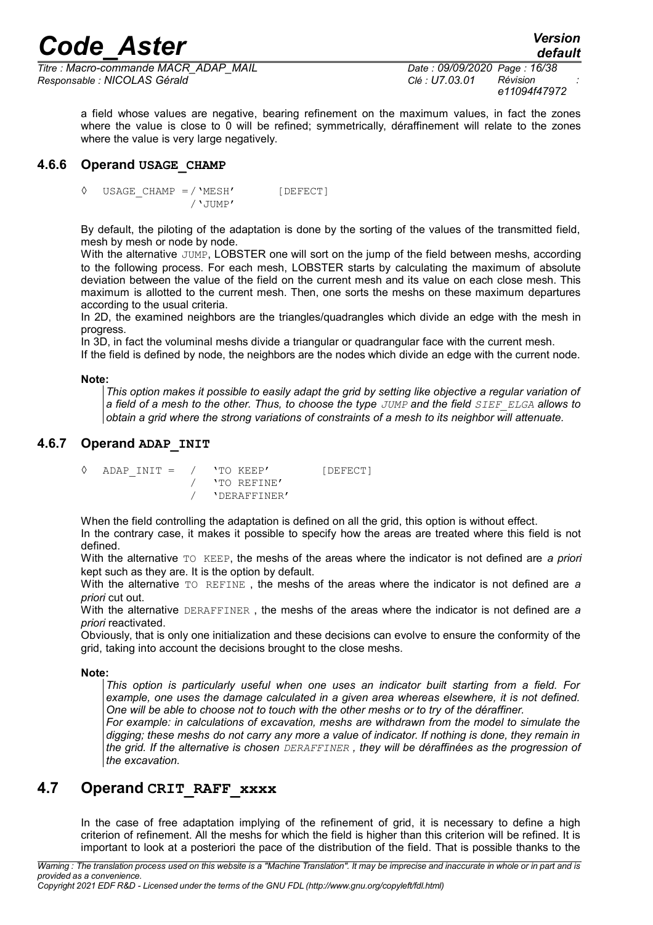*Titre : Macro-commande MACR\_ADAP\_MAIL Date : 09/09/2020 Page : 16/38 Responsable : NICOLAS Gérald Clé : U7.03.01 Révision :*

a field whose values are negative, bearing refinement on the maximum values, in fact the zones where the value is close to 0 will be refined; symmetrically, déraffinement will relate to the zones where the value is very large negatively.

# **4.6.6 Operand USAGE\_CHAMP**

 $USAGE$   $CHAMP$  =/'MESH' [DEFECT] /'JUMP'

By default, the piloting of the adaptation is done by the sorting of the values of the transmitted field, mesh by mesh or node by node.

With the alternative JUMP, LOBSTER one will sort on the jump of the field between meshs, according to the following process. For each mesh, LOBSTER starts by calculating the maximum of absolute deviation between the value of the field on the current mesh and its value on each close mesh. This maximum is allotted to the current mesh. Then, one sorts the meshs on these maximum departures according to the usual criteria.

In 2D, the examined neighbors are the triangles/quadrangles which divide an edge with the mesh in progress.

In 3D, in fact the voluminal meshs divide a triangular or quadrangular face with the current mesh.

If the field is defined by node, the neighbors are the nodes which divide an edge with the current node.

#### **Note:**

*This option makes it possible to easily adapt the grid by setting like objective a regular variation of a field of a mesh to the other. Thus, to choose the type JUMP and the field SIEF\_ELGA allows to obtain a grid where the strong variations of constraints of a mesh to its neighbor will attenuate.*

# **4.6.7 Operand ADAP\_INIT**

◊ ADAP\_INIT = / 'TO KEEP' [DEFECT] / 'TO REFINE' / 'DERAFFINER'

When the field controlling the adaptation is defined on all the grid, this option is without effect. In the contrary case, it makes it possible to specify how the areas are treated where this field is not defined.

With the alternative TO KEEP, the meshs of the areas where the indicator is not defined are a priori kept such as they are. It is the option by default.

With the alternative TO REFINE , the meshs of the areas where the indicator is not defined are *a priori* cut out.

With the alternative DERAFFINER , the meshs of the areas where the indicator is not defined are *a priori* reactivated.

Obviously, that is only one initialization and these decisions can evolve to ensure the conformity of the grid, taking into account the decisions brought to the close meshs.

#### **Note:**

*This option is particularly useful when one uses an indicator built starting from a field. For example, one uses the damage calculated in a given area whereas elsewhere, it is not defined. One will be able to choose not to touch with the other meshs or to try of the déraffiner.*

*For example: in calculations of excavation, meshs are withdrawn from the model to simulate the digging; these meshs do not carry any more a value of indicator. If nothing is done, they remain in the grid. If the alternative is chosen DERAFFINER , they will be déraffinées as the progression of the excavation.* 

# **4.7 Operand CRIT\_RAFF\_xxxx**

In the case of free adaptation implying of the refinement of grid, it is necessary to define a high criterion of refinement. All the meshs for which the field is higher than this criterion will be refined. It is important to look at a posteriori the pace of the distribution of the field. That is possible thanks to the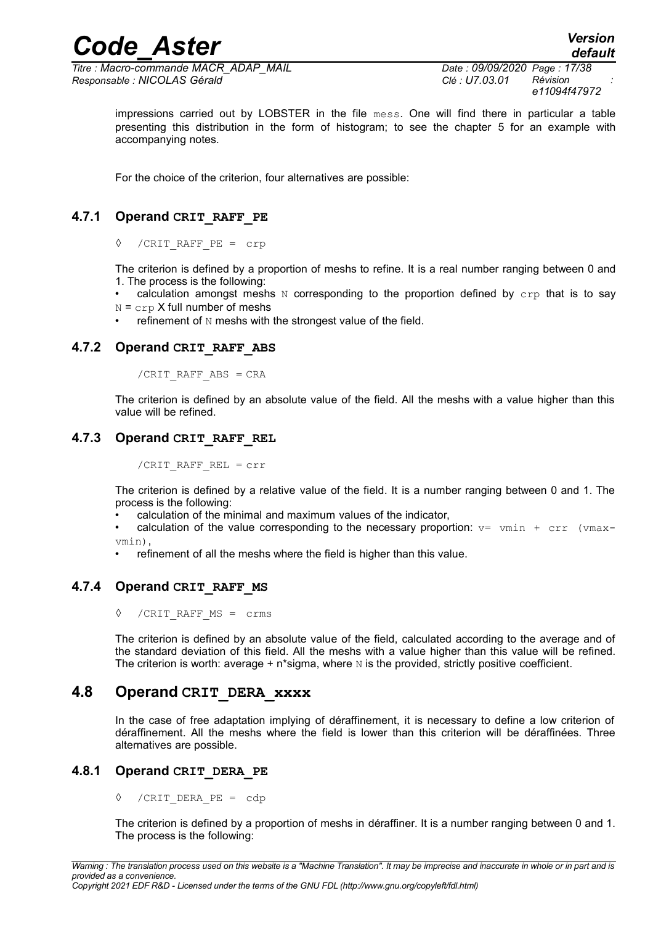*Titre : Macro-commande MACR\_ADAP\_MAIL Date : 09/09/2020 Page : 17/38 Responsable : NICOLAS Gérald Clé : U7.03.01 Révision :*

impressions carried out by LOBSTER in the file mess. One will find there in particular a table presenting this distribution in the form of histogram; to see the chapter [5](#page-33-0) for an example with accompanying notes.

*Code\_Aster Version*

For the choice of the criterion, four alternatives are possible:

# **4.7.1 Operand CRIT\_RAFF\_PE**

/CRIT\_RAFF\_PE = crp

The criterion is defined by a proportion of meshs to refine. It is a real number ranging between 0 and 1. The process is the following:

calculation amongst meshs  $N$  corresponding to the proportion defined by  $\exp$  that is to say  $N = \text{crp} X$  full number of meshs

refinement of N meshs with the strongest value of the field.

## **4.7.2 Operand CRIT\_RAFF\_ABS**

/CRIT\_RAFF\_ABS = CRA

The criterion is defined by an absolute value of the field. All the meshs with a value higher than this value will be refined.

# **4.7.3 Operand CRIT\_RAFF\_REL**

/CRIT\_RAFF\_REL = crr

The criterion is defined by a relative value of the field. It is a number ranging between 0 and 1. The process is the following:

• calculation of the minimal and maximum values of the indicator,

• calculation of the value corresponding to the necessary proportion:  $v=$  vmin + crr (vmaxvmin),

• refinement of all the meshs where the field is higher than this value.

# **4.7.4 Operand CRIT\_RAFF\_MS**

◊ /CRIT\_RAFF\_MS = crms

The criterion is defined by an absolute value of the field, calculated according to the average and of the standard deviation of this field. All the meshs with a value higher than this value will be refined. The criterion is worth: average +  $n*$ sigma, where  $N$  is the provided, strictly positive coefficient.

# **4.8 Operand CRIT\_DERA\_xxxx**

In the case of free adaptation implying of déraffinement, it is necessary to define a low criterion of déraffinement. All the meshs where the field is lower than this criterion will be déraffinées. Three alternatives are possible.

## **4.8.1 Operand CRIT\_DERA\_PE**

◊ /CRIT\_DERA\_PE = cdp

The criterion is defined by a proportion of meshs in déraffiner. It is a number ranging between 0 and 1. The process is the following: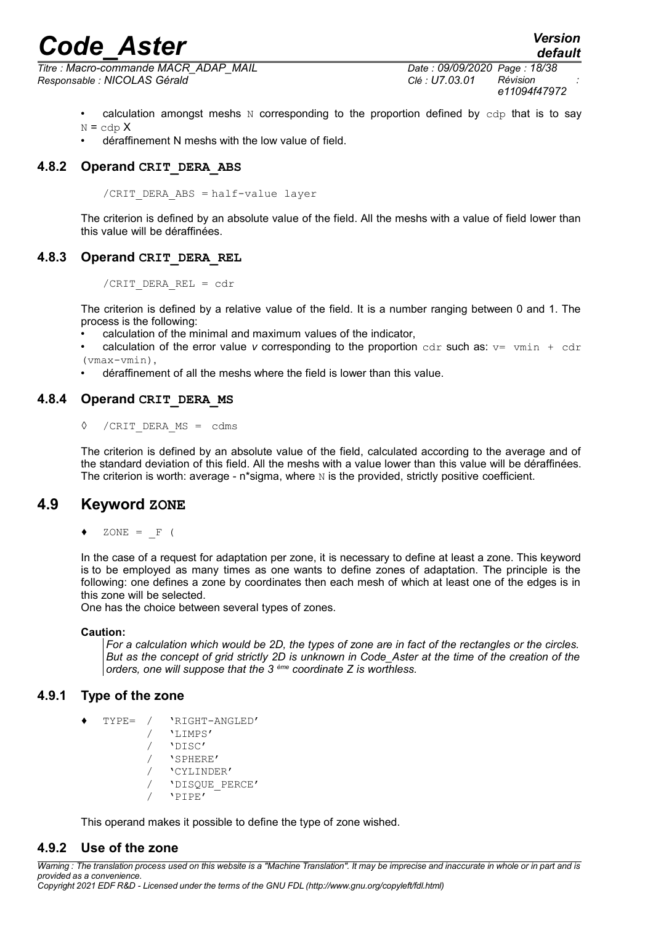*Titre : Macro-commande MACR\_ADAP\_MAIL Date : 09/09/2020 Page : 18/38 Responsable : NICOLAS Gérald Clé : U7.03.01 Révision :*

*e11094f47972*

*default*

• calculation amongst meshs N corresponding to the proportion defined by  $cdp$  that is to say  $N =$  cdp  $X$ 

• déraffinement N meshs with the low value of field.

# **4.8.2 Operand CRIT\_DERA\_ABS**

/CRIT\_DERA\_ABS = half-value layer

The criterion is defined by an absolute value of the field. All the meshs with a value of field lower than this value will be déraffinées.

# **4.8.3 Operand CRIT\_DERA\_REL**

/CRIT\_DERA\_REL = cdr

The criterion is defined by a relative value of the field. It is a number ranging between 0 and 1. The process is the following:

• calculation of the minimal and maximum values of the indicator,

• calculation of the error value  $v$  corresponding to the proportion  $cdr$  such as:  $v=$   $vmin + cdr$ (vmax-vmin),

• déraffinement of all the meshs where the field is lower than this value.

# **4.8.4 Operand CRIT\_DERA\_MS**

◊ /CRIT\_DERA\_MS = cdms

The criterion is defined by an absolute value of the field, calculated according to the average and of the standard deviation of this field. All the meshs with a value lower than this value will be déraffinées. The criterion is worth: average -  $n^*$ sigma, where  $N$  is the provided, strictly positive coefficient.

# **4.9 Keyword ZONE**

 $ZONE = F ($ 

In the case of a request for adaptation per zone, it is necessary to define at least a zone. This keyword is to be employed as many times as one wants to define zones of adaptation. The principle is the following: one defines a zone by coordinates then each mesh of which at least one of the edges is in this zone will be selected.

One has the choice between several types of zones.

#### **Caution:**

*For a calculation which would be 2D, the types of zone are in fact of the rectangles or the circles. But as the concept of grid strictly 2D is unknown in Code\_Aster at the time of the creation of the orders, one will suppose that the 3 ème coordinate Z is worthless.*

### **4.9.1 Type of the zone**

- TYPE= / 'RIGHT-ANGLED'
	- / 'LIMPS'
	- / 'DISC'
	- / 'SPHERE'
	- / 'CYLINDER' / 'DISQUE\_PERCE'
	- / 'PIPE'
	-

This operand makes it possible to define the type of zone wished.

### **4.9.2 Use of the zone**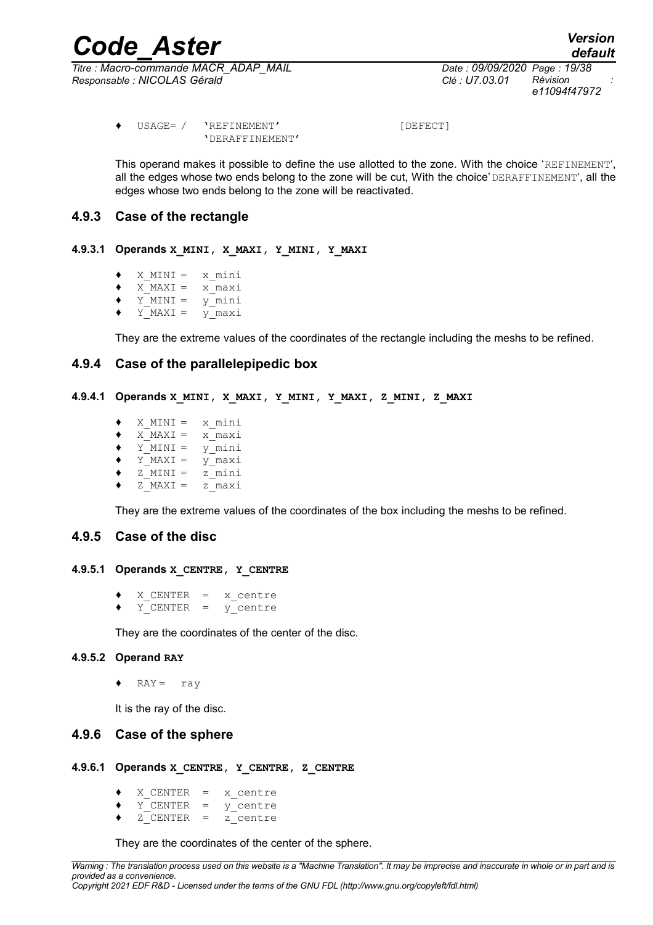*e11094f47972*

♦ USAGE= / 'REFINEMENT' [DEFECT] 'DERAFFINEMENT'

This operand makes it possible to define the use allotted to the zone. With the choice 'REFINEMENT', all the edges whose two ends belong to the zone will be cut, With the choice' DERAFFINEMENT', all the edges whose two ends belong to the zone will be reactivated.

# **4.9.3 Case of the rectangle**

#### **4.9.3.1 Operands X\_MINI, X\_MAXI, Y\_MINI, Y\_MAXI**

- $X$  MINI =  $x$  mini
- ♦ X\_MAXI = x\_maxi
- $\blacklozenge$  Y MINI = y mini
- $\bullet$  Y MAXI =  $\frac{1}{\text{maxi}}$

They are the extreme values of the coordinates of the rectangle including the meshs to be refined.

## **4.9.4 Case of the parallelepipedic box**

```
4.9.4.1 Operands X_MINI, X_MAXI, Y_MINI, Y_MAXI, Z_MINI, Z_MAXI
```
- $X$  MINI =  $x$  mini
- $\bullet$  X  $MAXI = x$  maxi
- $\bullet$  Y MINI = y mini
- ♦ Y\_MAXI = y\_maxi
- $Z$  MINI =  $Z$  mini
- $Z$  MAXI =  $Z$  maxi

They are the extreme values of the coordinates of the box including the meshs to be refined.

### **4.9.5 Case of the disc**

#### **4.9.5.1 Operands X\_CENTRE, Y\_CENTRE**

- $X$  CENTER =  $x$  centre
- Y CENTER = y centre

They are the coordinates of the center of the disc.

#### **4.9.5.2 Operand RAY**

 $\triangleleft$  RAY = ray

It is the ray of the disc.

### **4.9.6 Case of the sphere**

#### **4.9.6.1 Operands X\_CENTRE, Y\_CENTRE, Z\_CENTRE**

- $X$  CENTER =  $x$  centre
- ♦ Y\_CENTER = y\_centre
- $\bullet$  Z<sup>-</sup>CENTER =  $\overline{z}$  centre

They are the coordinates of the center of the sphere.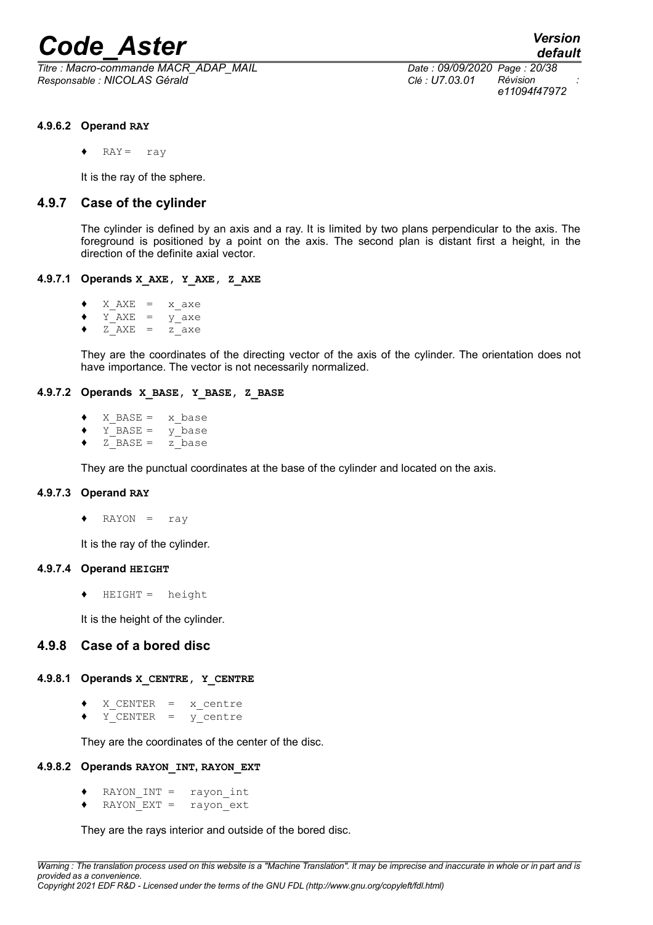*Titre : Macro-commande MACR\_ADAP\_MAIL Date : 09/09/2020 Page : 20/38 Responsable : NICOLAS Gérald Clé : U7.03.01 Révision :*

*e11094f47972*

### **4.9.6.2 Operand RAY**

 $RAY = rav$ 

It is the ray of the sphere.

## **4.9.7 Case of the cylinder**

The cylinder is defined by an axis and a ray. It is limited by two plans perpendicular to the axis. The foreground is positioned by a point on the axis. The second plan is distant first a height, in the direction of the definite axial vector.

#### **4.9.7.1 Operands X\_AXE, Y\_AXE, Z\_AXE**

- $\bullet$  X AXE = x axe
- $Y$  AXE =  $y$  axe
- $\bullet$  Z  $AXE = Z$  axe

They are the coordinates of the directing vector of the axis of the cylinder. The orientation does not have importance. The vector is not necessarily normalized.

#### **4.9.7.2 Operands X\_BASE, Y\_BASE, Z\_BASE**

- $X$  BASE =  $x$  base
- $\overline{Y}$ BASE = y\_base
- $\bullet$  Z BASE = z base

They are the punctual coordinates at the base of the cylinder and located on the axis.

### **4.9.7.3 Operand RAY**

♦ RAYON = ray

It is the ray of the cylinder.

#### **4.9.7.4 Operand HEIGHT**

♦ HEIGHT = height

It is the height of the cylinder.

# **4.9.8 Case of a bored disc**

#### **4.9.8.1 Operands X\_CENTRE, Y\_CENTRE**

- $X$  CENTER =  $x$  centre
- $\blacklozenge$  Y CENTER =  $\bar{y}$  centre

They are the coordinates of the center of the disc.

### **4.9.8.2 Operands RAYON\_INT, RAYON\_EXT**

- $\text{RAYON}$  INT = rayon int
- ♦ RAYON\_EXT = rayon\_ext

They are the rays interior and outside of the bored disc.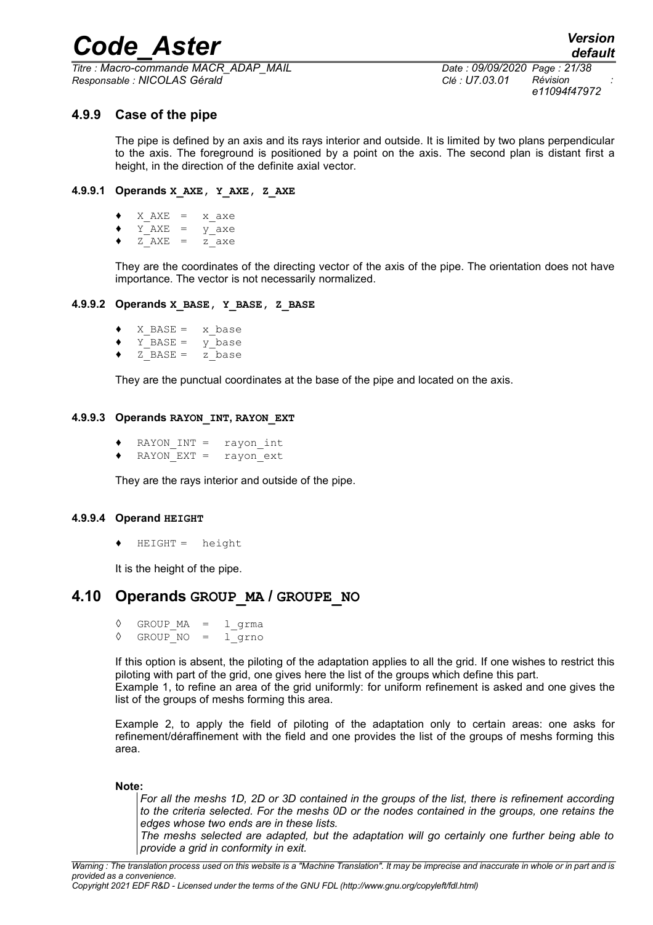*Titre : Macro-commande MACR\_ADAP\_MAIL Date : 09/09/2020 Page : 21/38 Responsable : NICOLAS Gérald Clé : U7.03.01 Révision :*

*e11094f47972*

# **4.9.9 Case of the pipe**

The pipe is defined by an axis and its rays interior and outside. It is limited by two plans perpendicular to the axis. The foreground is positioned by a point on the axis. The second plan is distant first a height, in the direction of the definite axial vector.

### **4.9.9.1 Operands X\_AXE, Y\_AXE, Z\_AXE**

- $X$  AXE =  $x$  axe
- $\bullet$  Y\_AXE =  $y$ \_axe
- $Z$   $AXE$  = z axe

They are the coordinates of the directing vector of the axis of the pipe. The orientation does not have importance. The vector is not necessarily normalized.

#### **4.9.9.2 Operands X\_BASE, Y\_BASE, Z\_BASE**

- $X$  BASE =  $x$  base
- $\blacklozenge$  Y\_BASE = y\_base
- $\bullet$  Z BASE = z base

They are the punctual coordinates at the base of the pipe and located on the axis.

#### **4.9.9.3 Operands RAYON\_INT, RAYON\_EXT**

- $RAYON$  INT = rayon int
- ♦ RAYON\_EXT = rayon\_ext

They are the rays interior and outside of the pipe.

#### **4.9.9.4 Operand HEIGHT**

♦ HEIGHT = height

It is the height of the pipe.

# **4.10 Operands GROUP\_MA / GROUPE\_NO**

◊ GROUP\_MA = l\_grma  $\Diamond$  GROUP NO = l grno

If this option is absent, the piloting of the adaptation applies to all the grid. If one wishes to restrict this piloting with part of the grid, one gives here the list of the groups which define this part. Example 1, to refine an area of the grid uniformly: for uniform refinement is asked and one gives the list of the groups of meshs forming this area.

Example 2, to apply the field of piloting of the adaptation only to certain areas: one asks for refinement/déraffinement with the field and one provides the list of the groups of meshs forming this area.

#### **Note:**

*For all the meshs 1D, 2D or 3D contained in the groups of the list, there is refinement according to the criteria selected. For the meshs 0D or the nodes contained in the groups, one retains the edges whose two ends are in these lists.*

*The meshs selected are adapted, but the adaptation will go certainly one further being able to provide a grid in conformity in exit.*

*Copyright 2021 EDF R&D - Licensed under the terms of the GNU FDL (http://www.gnu.org/copyleft/fdl.html)*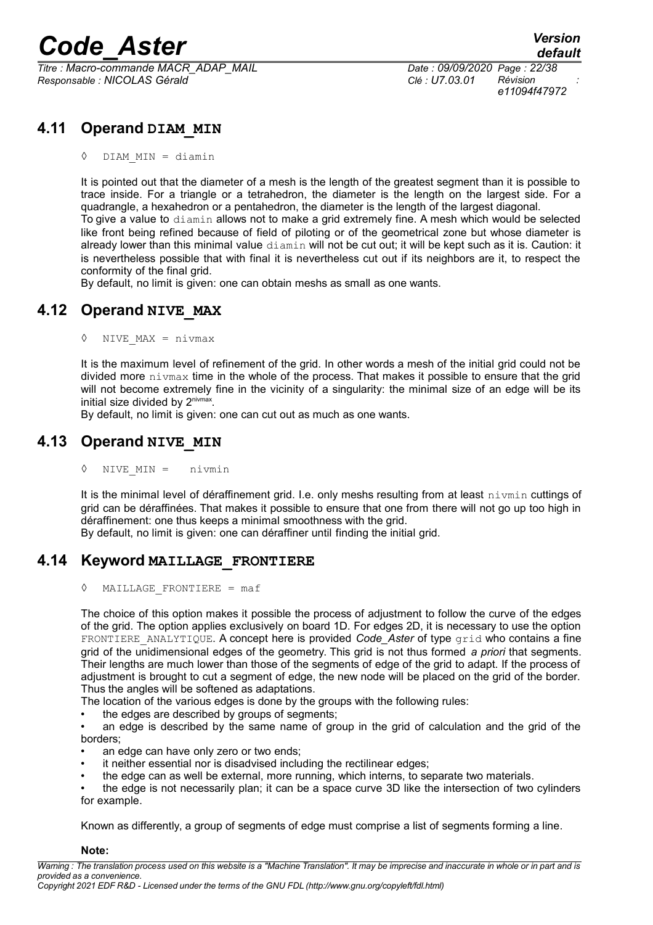*Titre : Macro-commande MACR\_ADAP\_MAIL Date : 09/09/2020 Page : 22/38 Responsable : NICOLAS Gérald Clé : U7.03.01 Révision :*

*e11094f47972*

# **4.11 Operand DIAM\_MIN**

◊ DIAM\_MIN = diamin

It is pointed out that the diameter of a mesh is the length of the greatest segment than it is possible to trace inside. For a triangle or a tetrahedron, the diameter is the length on the largest side. For a quadrangle, a hexahedron or a pentahedron, the diameter is the length of the largest diagonal.

To give a value to diamin allows not to make a grid extremely fine. A mesh which would be selected like front being refined because of field of piloting or of the geometrical zone but whose diameter is already lower than this minimal value diamin will not be cut out; it will be kept such as it is. Caution: it is nevertheless possible that with final it is nevertheless cut out if its neighbors are it, to respect the conformity of the final grid.

By default, no limit is given: one can obtain meshs as small as one wants.

# **4.12 Operand NIVE\_MAX**

◊ NIVE\_MAX = nivmax

It is the maximum level of refinement of the grid. In other words a mesh of the initial grid could not be divided more nivmax time in the whole of the process. That makes it possible to ensure that the grid will not become extremely fine in the vicinity of a singularity: the minimal size of an edge will be its initial size divided by 2<sup>nivmax</sup>.

By default, no limit is given: one can cut out as much as one wants.

# **4.13 Operand NIVE\_MIN**

◊ NIVE\_MIN = nivmin

It is the minimal level of déraffinement grid. I.e. only meshs resulting from at least nivmin cuttings of grid can be déraffinées. That makes it possible to ensure that one from there will not go up too high in déraffinement: one thus keeps a minimal smoothness with the grid.

By default, no limit is given: one can déraffiner until finding the initial grid.

# **4.14 Keyword MAILLAGE\_FRONTIERE**

◊ MAILLAGE\_FRONTIERE = maf

The choice of this option makes it possible the process of adjustment to follow the curve of the edges of the grid. The option applies exclusively on board 1D. For edges 2D, it is necessary to use the option FRONTIERE\_ANALYTIQUE. A concept here is provided *Code\_Aster* of type grid who contains a fine grid of the unidimensional edges of the geometry. This grid is not thus formed *a priori* that segments. Their lengths are much lower than those of the segments of edge of the grid to adapt. If the process of adjustment is brought to cut a segment of edge, the new node will be placed on the grid of the border. Thus the angles will be softened as adaptations.

The location of the various edges is done by the groups with the following rules:

the edges are described by groups of segments;

• an edge is described by the same name of group in the grid of calculation and the grid of the borders;

- an edge can have only zero or two ends;
- it neither essential nor is disadvised including the rectilinear edges;
- the edge can as well be external, more running, which interns, to separate two materials.

• the edge is not necessarily plan; it can be a space curve 3D like the intersection of two cylinders for example.

Known as differently, a group of segments of edge must comprise a list of segments forming a line.

#### **Note:**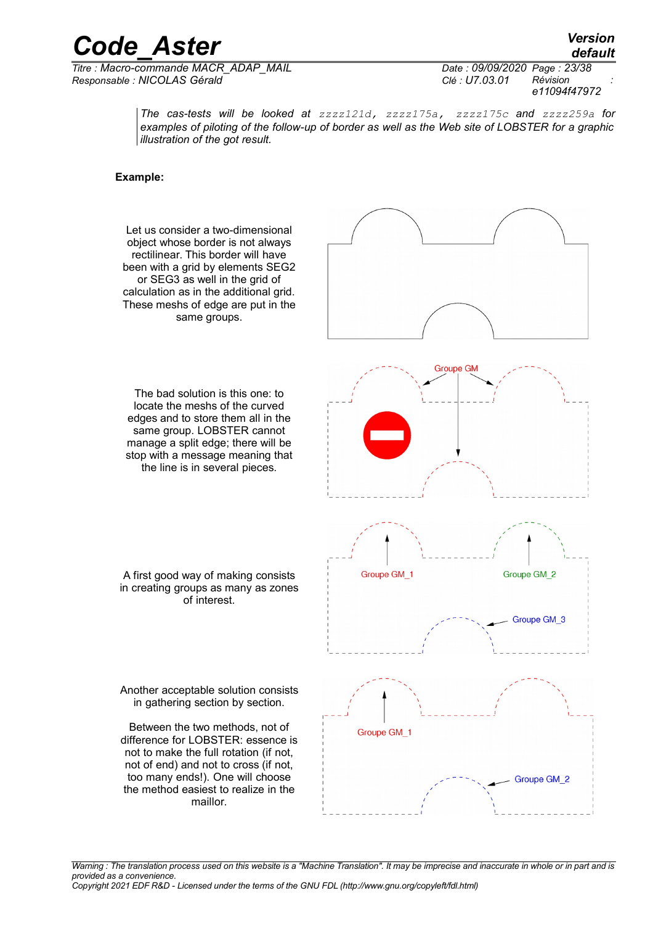*Titre : Macro-commande MACR\_ADAP\_MAIL Date : 09/09/2020 Page : 23/38 Responsable : NICOLAS Gérald Clé : U7.03.01 Révision :*

*default e11094f47972*

*The cas-tests will be looked at zzzz121d, zzzz175a, zzzz175c and zzzz259a for examples of piloting of the follow-up of border as well as the Web site of LOBSTER for a graphic illustration of the got result.*

#### **Example:**

Let us consider a two-dimensional object whose border is not always rectilinear. This border will have been with a grid by elements SEG2 or SEG3 as well in the grid of calculation as in the additional grid. These meshs of edge are put in the same groups.



A first good way of making consists in creating groups as many as zones of interest.

Another acceptable solution consists in gathering section by section.

Between the two methods, not of difference for LOBSTER: essence is not to make the full rotation (if not, not of end) and not to cross (if not, too many ends!). One will choose the method easiest to realize in the maillor.



*Warning : The translation process used on this website is a "Machine Translation". It may be imprecise and inaccurate in whole or in part and is provided as a convenience. Copyright 2021 EDF R&D - Licensed under the terms of the GNU FDL (http://www.gnu.org/copyleft/fdl.html)*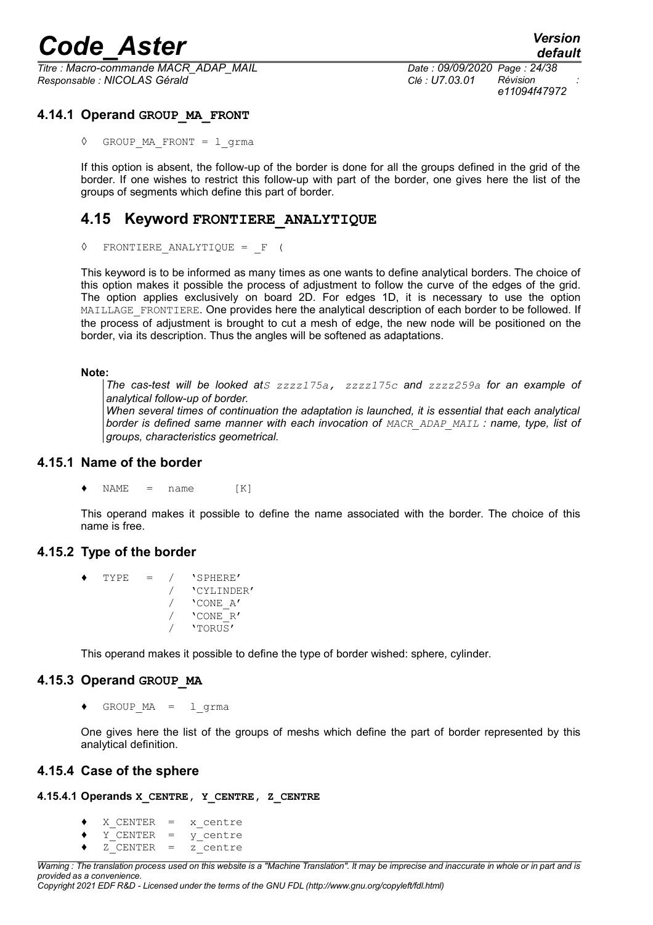*Titre : Macro-commande MACR\_ADAP\_MAIL Date : 09/09/2020 Page : 24/38 Responsable : NICOLAS Gérald Clé : U7.03.01 Révision :*

*e11094f47972*

# **4.14.1 Operand GROUP\_MA\_FRONT**

GROUP MA FRONT =  $l$  grma

If this option is absent, the follow-up of the border is done for all the groups defined in the grid of the border. If one wishes to restrict this follow-up with part of the border, one gives here the list of the groups of segments which define this part of border.

# **4.15 Keyword FRONTIERE\_ANALYTIQUE**

◊ FRONTIERE\_ANALYTIQUE = \_F (

This keyword is to be informed as many times as one wants to define analytical borders. The choice of this option makes it possible the process of adjustment to follow the curve of the edges of the grid. The option applies exclusively on board 2D. For edges 1D, it is necessary to use the option MAILLAGE FRONTIERE. One provides here the analytical description of each border to be followed. If the process of adjustment is brought to cut a mesh of edge, the new node will be positioned on the border, via its description. Thus the angles will be softened as adaptations.

### **Note:**

*The cas-test will be looked atS zzzz175a, zzzz175c and zzzz259a for an example of analytical follow-up of border. When several times of continuation the adaptation is launched, it is essential that each analytical border is defined same manner with each invocation of MACR\_ADAP\_MAIL : name, type, list of groups, characteristics geometrical.*

## **4.15.1 Name of the border**

 $NAME = name$   $[K]$ 

This operand makes it possible to define the name associated with the border. The choice of this name is free.

# **4.15.2 Type of the border**

```
TYPE = / 'SPHERE'/ 'CYLINDER'
              / 'CONE_A'
              / 'CONE_R'
              / 'TORUS'
```
This operand makes it possible to define the type of border wished: sphere, cylinder.

# **4.15.3 Operand GROUP\_MA**

 $\triangleleft$  GROUP MA = 1 grma

One gives here the list of the groups of meshs which define the part of border represented by this analytical definition.

# **4.15.4 Case of the sphere**

**4.15.4.1 Operands X\_CENTRE, Y\_CENTRE, Z\_CENTRE**

- ♦ X\_CENTER = x\_centre
- $Y$  CENTER =  $y$  centre
- ♦ Z\_CENTER = z\_centre

*Warning : The translation process used on this website is a "Machine Translation". It may be imprecise and inaccurate in whole or in part and is provided as a convenience.*

*Copyright 2021 EDF R&D - Licensed under the terms of the GNU FDL (http://www.gnu.org/copyleft/fdl.html)*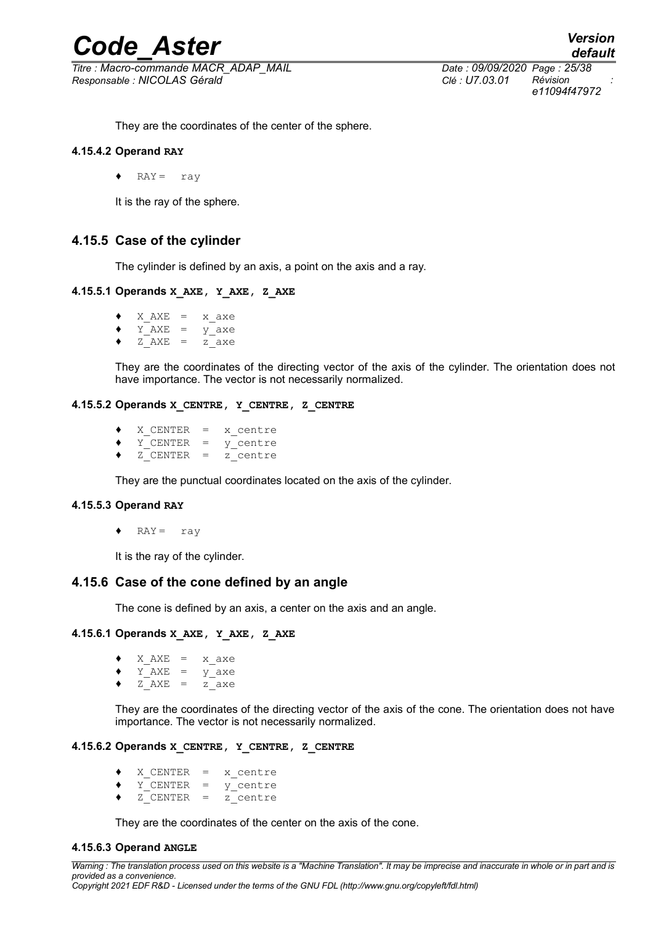*Titre : Macro-commande MACR\_ADAP\_MAIL Date : 09/09/2020 Page : 25/38 Responsable : NICOLAS Gérald Clé : U7.03.01 Révision :*

They are the coordinates of the center of the sphere.

#### **4.15.4.2 Operand RAY**

 $\triangleleft$  RAY = ray

It is the ray of the sphere.

# **4.15.5 Case of the cylinder**

The cylinder is defined by an axis, a point on the axis and a ray.

#### **4.15.5.1 Operands X\_AXE, Y\_AXE, Z\_AXE**

 $X$  AXE =  $x$  axe  $\blacklozenge$  Y\_AXE =  $y$ \_axe  $\bullet$  Z  $AXE = Z$  axe

They are the coordinates of the directing vector of the axis of the cylinder. The orientation does not have importance. The vector is not necessarily normalized.

# **4.15.5.2 Operands X\_CENTRE, Y\_CENTRE, Z\_CENTRE**

- ♦ X\_CENTER = x\_centre
- $\bigstar$  Y CENTER = y centre
- $\overline{z}$  CENTER =  $\overline{z}$  centre

They are the punctual coordinates located on the axis of the cylinder.

#### **4.15.5.3 Operand RAY**

 $\triangleleft$  RAY = ray

It is the ray of the cylinder.

### **4.15.6 Case of the cone defined by an angle**

The cone is defined by an axis, a center on the axis and an angle.

#### **4.15.6.1 Operands X\_AXE, Y\_AXE, Z\_AXE**

```
X AXE = x axe
```
- $\begin{array}{ccc} \bullet & \bullet & \bullet & \bullet \\ \bullet & \bullet & \bullet & \bullet \end{array}$   $\begin{array}{ccc} \bullet & \bullet & \bullet & \bullet \\ \bullet & \bullet & \bullet & \bullet \end{array}$
- $\bullet$   $\overline{Z}$  AXE = z axe

They are the coordinates of the directing vector of the axis of the cone. The orientation does not have importance. The vector is not necessarily normalized.

# **4.15.6.2 Operands X\_CENTRE, Y\_CENTRE, Z\_CENTRE**

- ♦ X\_CENTER = x\_centre
- $\bigstar$   $\bar{Y}$  CENTER =  $\bar{Y}$  centre
- $\triangleleft$   $Z$  CENTER = z centre

They are the coordinates of the center on the axis of the cone.

### **4.15.6.3 Operand ANGLE**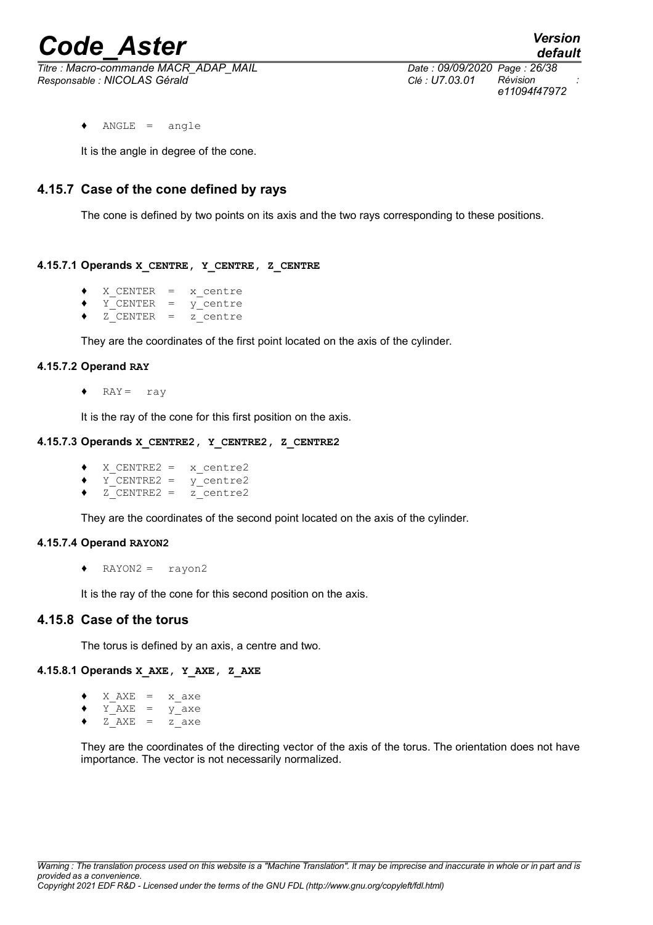*Titre : Macro-commande MACR\_ADAP\_MAIL Date : 09/09/2020 Page : 26/38 Responsable : NICOLAS Gérald Clé : U7.03.01 Révision :*

 $\text{ANGLE} = \text{angle}$ 

It is the angle in degree of the cone.

# **4.15.7 Case of the cone defined by rays**

The cone is defined by two points on its axis and the two rays corresponding to these positions.

### **4.15.7.1 Operands X\_CENTRE, Y\_CENTRE, Z\_CENTRE**

- ♦ X\_CENTER = x\_centre
- ♦ Y\_CENTER = y\_centre
- $\triangleleft$   $Z$  CENTER = z centre

They are the coordinates of the first point located on the axis of the cylinder.

#### **4.15.7.2 Operand RAY**

 $\triangleleft$  RAY = ray

It is the ray of the cone for this first position on the axis.

#### **4.15.7.3 Operands X\_CENTRE2, Y\_CENTRE2, Z\_CENTRE2**

- $X$  CENTRE2 =  $x$  centre2
- $\bullet$  Y<sup>-</sup>CENTRE2 =  $y$ -centre2
- $\overline{z}$  CENTRE2 =  $\overline{z}$  centre2

They are the coordinates of the second point located on the axis of the cylinder.

#### **4.15.7.4 Operand RAYON2**

♦ RAYON2 = rayon2

It is the ray of the cone for this second position on the axis.

## **4.15.8 Case of the torus**

The torus is defined by an axis, a centre and two.

### **4.15.8.1 Operands X\_AXE, Y\_AXE, Z\_AXE**

- $\bullet$  X AXE = x axe
- $\begin{array}{rcl}\n\bullet & \text{Y}^\top \text{AXE} & = & \text{y}^\top \text{axe} \\
\bullet & \text{Z}^\top \text{AXE} & = & \text{z}^\top \text{axe}\n\end{array}$
- $Z$   $AXE$  =

They are the coordinates of the directing vector of the axis of the torus. The orientation does not have importance. The vector is not necessarily normalized.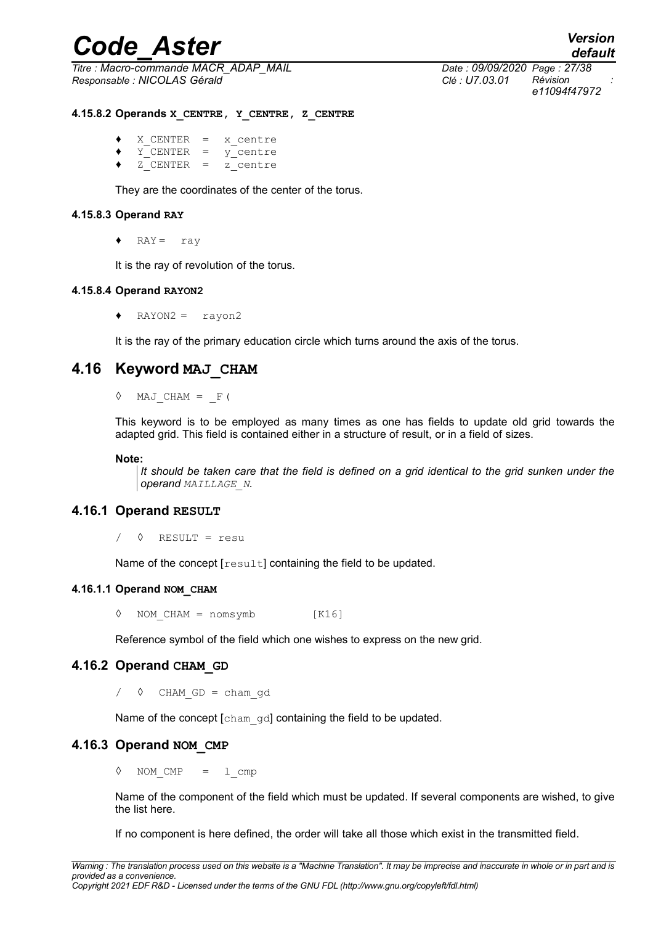*Titre : Macro-commande MACR\_ADAP\_MAIL Date : 09/09/2020 Page : 27/38 Responsable : NICOLAS Gérald Clé : U7.03.01 Révision :*

*e11094f47972*

**4.15.8.2 Operands X\_CENTRE, Y\_CENTRE, Z\_CENTRE**

- $Y$  CENTER =  $Y$ <sup> $\sim$ </sup> centre
- $\bullet$  Z CENTER =  $\overline{z}$  centre

They are the coordinates of the center of the torus.

#### **4.15.8.3 Operand RAY**

 $\triangleleft$  RAY = ray

It is the ray of revolution of the torus.

#### **4.15.8.4 Operand RAYON2**

♦ RAYON2 = rayon2

It is the ray of the primary education circle which turns around the axis of the torus.

# **4.16 Keyword MAJ\_CHAM**

 $\Diamond$  MAJ CHAM =  $\ F$  (

This keyword is to be employed as many times as one has fields to update old grid towards the adapted grid. This field is contained either in a structure of result, or in a field of sizes.

#### **Note:**

*It should be taken care that the field is defined on a grid identical to the grid sunken under the operand MAILLAGE\_N.*

### **4.16.1 Operand RESULT**

 $\angle$   $\Diamond$  RESULT = result

Name of the concept [result] containing the field to be updated.

### **4.16.1.1 Operand NOM\_CHAM**

◊ NOM\_CHAM = nomsymb [K16]

Reference symbol of the field which one wishes to express on the new grid.

# **4.16.2 Operand CHAM\_GD**

 $\sqrt{ }$  CHAM GD = cham gd

Name of the concept [cham\_gd] containing the field to be updated.

# **4.16.3 Operand NOM\_CMP**

 $\Diamond$  NOM CMP = 1 cmp

Name of the component of the field which must be updated. If several components are wished, to give the list here.

If no component is here defined, the order will take all those which exist in the transmitted field.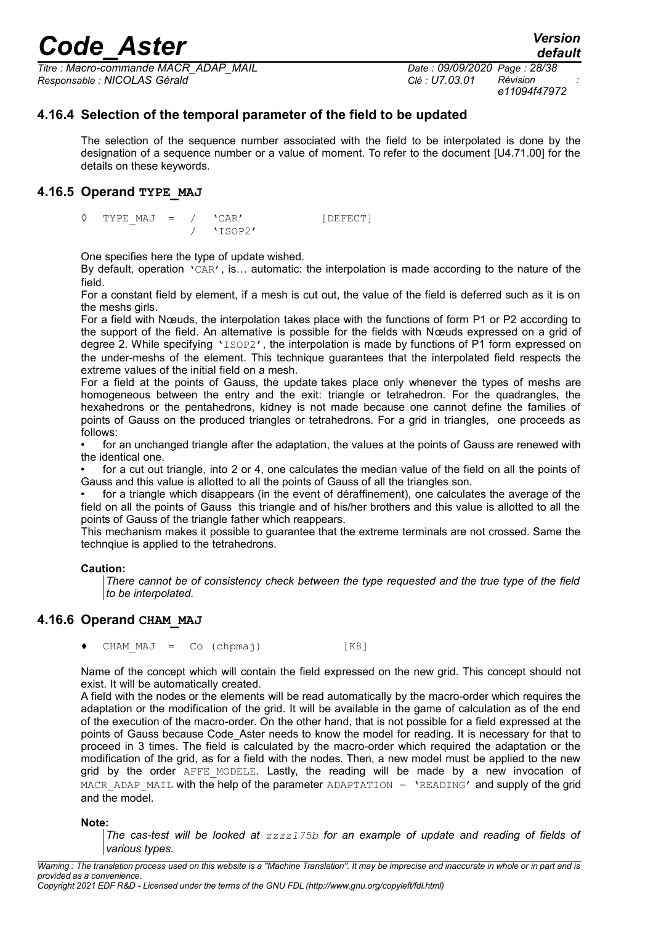*Titre : Macro-commande MACR\_ADAP\_MAIL Date : 09/09/2020 Page : 28/38 Responsable : NICOLAS Gérald Clé : U7.03.01 Révision :*

*e11094f47972*

# **4.16.4 Selection of the temporal parameter of the field to be updated**

The selection of the sequence number associated with the field to be interpolated is done by the designation of a sequence number or a value of moment. To refer to the document [U4.71.00] for the details on these keywords.

# **4.16.5 Operand TYPE\_MAJ**

 $\Diamond$  TYPE MAJ = / 'CAR' [DEFECT] / 'ISOP2'

One specifies here the type of update wished.

By default, operation 'CAR', is… automatic: the interpolation is made according to the nature of the field.

For a constant field by element, if a mesh is cut out, the value of the field is deferred such as it is on the meshs girls.

For a field with Nœuds, the interpolation takes place with the functions of form P1 or P2 according to the support of the field. An alternative is possible for the fields with Nœuds expressed on a grid of degree 2. While specifying 'ISOP2', the interpolation is made by functions of P1 form expressed on the under-meshs of the element. This technique guarantees that the interpolated field respects the extreme values of the initial field on a mesh.

For a field at the points of Gauss, the update takes place only whenever the types of meshs are homogeneous between the entry and the exit: triangle or tetrahedron. For the quadrangles, the hexahedrons or the pentahedrons, kidney is not made because one cannot define the families of points of Gauss on the produced triangles or tetrahedrons. For a grid in triangles, one proceeds as follows:

for an unchanged triangle after the adaptation, the values at the points of Gauss are renewed with the identical one.

• for a cut out triangle, into 2 or 4, one calculates the median value of the field on all the points of Gauss and this value is allotted to all the points of Gauss of all the triangles son.

• for a triangle which disappears (in the event of déraffinement), one calculates the average of the field on all the points of Gauss this triangle and of his/her brothers and this value is allotted to all the points of Gauss of the triangle father which reappears.

This mechanism makes it possible to guarantee that the extreme terminals are not crossed. Same the technqiue is applied to the tetrahedrons.

### **Caution:**

*There cannot be of consistency check between the type requested and the true type of the field to be interpolated.*

# **4.16.6 Operand CHAM\_MAJ**

 $CHAMMAJ = Co (chpmaj)$  [K8]

Name of the concept which will contain the field expressed on the new grid. This concept should not exist. It will be automatically created.

A field with the nodes or the elements will be read automatically by the macro-order which requires the adaptation or the modification of the grid. It will be available in the game of calculation as of the end of the execution of the macro-order. On the other hand, that is not possible for a field expressed at the points of Gauss because Code\_Aster needs to know the model for reading. It is necessary for that to proceed in 3 times. The field is calculated by the macro-order which required the adaptation or the modification of the grid, as for a field with the nodes. Then, a new model must be applied to the new grid by the order AFFE MODELE. Lastly, the reading will be made by a new invocation of MACR ADAP MAIL with the help of the parameter ADAPTATION = 'READING' and supply of the grid and the model.

#### **Note:**

*The cas-test will be looked at zzzz175b for an example of update and reading of fields of various types.*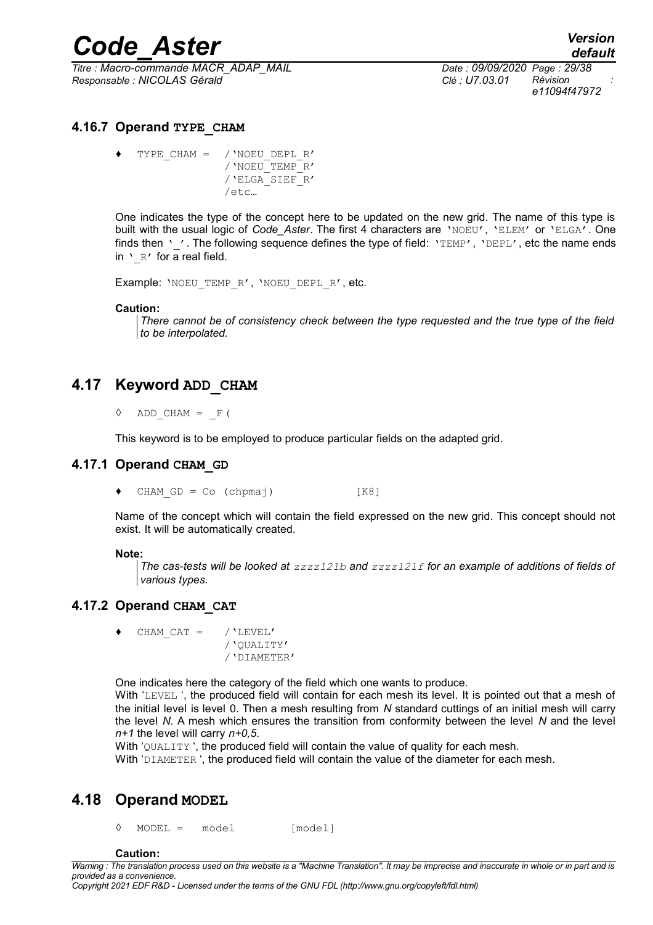*Titre : Macro-commande MACR\_ADAP\_MAIL Date : 09/09/2020 Page : 29/38 Responsable : NICOLAS Gérald Clé : U7.03.01 Révision :*

*e11094f47972*

# **4.16.7 Operand TYPE\_CHAM**

TYPE CHAM =  $/$ 'NOEU DEPL R' /'NOEU\_TEMP\_R' /'ELGA\_SIEF\_R'  $/$ etc…

One indicates the type of the concept here to be updated on the new grid. The name of this type is built with the usual logic of *Code\_Aster*. The first 4 characters are 'NOEU', 'ELEM' or 'ELGA'. One finds then  $\cdot$  '. The following sequence defines the type of field:  $\cdot$   $TEMP'$ ,  $\cdot$   $DEPL'$ , etc the name ends in  $'$   $R'$  for a real field.

Example: 'NOEU TEMP R', 'NOEU DEPL R', etc.

#### **Caution:**

*There cannot be of consistency check between the type requested and the true type of the field to be interpolated.*

# **4.17 Keyword ADD\_CHAM**

 $\Diamond$  ADD CHAM =  $F($ 

This keyword is to be employed to produce particular fields on the adapted grid.

## **4.17.1 Operand CHAM\_GD**

 $\bullet$  CHAM GD = Co (chpmaj) [K8]

Name of the concept which will contain the field expressed on the new grid. This concept should not exist. It will be automatically created.

### **Note:**

*The cas-tests will be looked at zzzz121b and zzzz121f for an example of additions of fields of various types.*

# **4.17.2 Operand CHAM\_CAT**

CHAM  $CAT = / 'LEVEL'$ /'QUALITY' /'DIAMETER'

One indicates here the category of the field which one wants to produce.

With 'LEVEL ', the produced field will contain for each mesh its level. It is pointed out that a mesh of the initial level is level 0. Then a mesh resulting from *N* standard cuttings of an initial mesh will carry the level *N*. A mesh which ensures the transition from conformity between the level *N* and the level *n+1* the level will carry *n+0,5*.

With 'QUALITY', the produced field will contain the value of quality for each mesh.

With 'DIAMETER ', the produced field will contain the value of the diameter for each mesh.

# **4.18 Operand MODEL**

◊ MODEL = model [model]

#### **Caution:**

*Warning : The translation process used on this website is a "Machine Translation". It may be imprecise and inaccurate in whole or in part and is provided as a convenience.*

*Copyright 2021 EDF R&D - Licensed under the terms of the GNU FDL (http://www.gnu.org/copyleft/fdl.html)*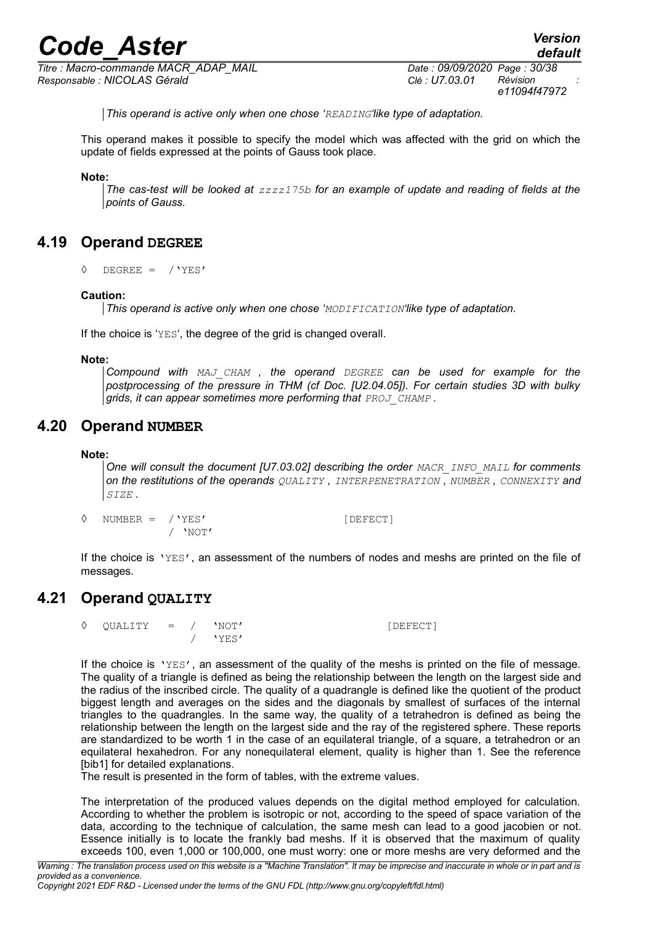*Titre : Macro-commande MACR\_ADAP\_MAIL Date : 09/09/2020 Page : 30/38 Responsable : NICOLAS Gérald Clé : U7.03.01 Révision :*

*default*

*This operand is active only when one chose 'READING'like type of adaptation.*

This operand makes it possible to specify the model which was affected with the grid on which the update of fields expressed at the points of Gauss took place.

## **Note:**

*The cas-test will be looked at zzzz175b for an example of update and reading of fields at the points of Gauss.*

# **4.19 Operand DEGREE**

◊ DEGREE = /'YES'

### **Caution:**

*This operand is active only when one chose 'MODIFICATION'like type of adaptation.*

If the choice is 'YES', the degree of the grid is changed overall.

### **Note:**

*Compound with MAJ\_CHAM , the operand DEGREE can be used for example for the postprocessing of the pressure in THM (cf Doc. [U2.04.05]). For certain studies 3D with bulky grids, it can appear sometimes more performing that PROJ\_CHAMP .*

# **4.20 Operand NUMBER**

### **Note:**

*One will consult the document [U7.03.02] describing the order MACR\_INFO\_MAIL for comments on the restitutions of the operands QUALITY , INTERPENETRATION , NUMBER , CONNEXITY and SIZE .*

| $\Diamond$ NUMBER = / 'YES' |         | [DEFECT] |
|-----------------------------|---------|----------|
|                             | / 'NOT' |          |

If the choice is 'YES', an assessment of the numbers of nodes and meshs are printed on the file of messages.

# **4.21 Operand QUALITY**

◊ QUALITY = / 'NOT' [DEFECT] / 'YES'

If the choice is 'YES', an assessment of the quality of the meshs is printed on the file of message. The quality of a triangle is defined as being the relationship between the length on the largest side and the radius of the inscribed circle. The quality of a quadrangle is defined like the quotient of the product biggest length and averages on the sides and the diagonals by smallest of surfaces of the internal triangles to the quadrangles. In the same way, the quality of a tetrahedron is defined as being the relationship between the length on the largest side and the ray of the registered sphere. These reports are standardized to be worth 1 in the case of an equilateral triangle, of a square, a tetrahedron or an equilateral hexahedron. For any nonequilateral element, quality is higher than 1. See the reference [bib1] for detailed explanations.

The result is presented in the form of tables, with the extreme values.

The interpretation of the produced values depends on the digital method employed for calculation. According to whether the problem is isotropic or not, according to the speed of space variation of the data, according to the technique of calculation, the same mesh can lead to a good jacobien or not. Essence initially is to locate the frankly bad meshs. If it is observed that the maximum of quality exceeds 100, even 1,000 or 100,000, one must worry: one or more meshs are very deformed and the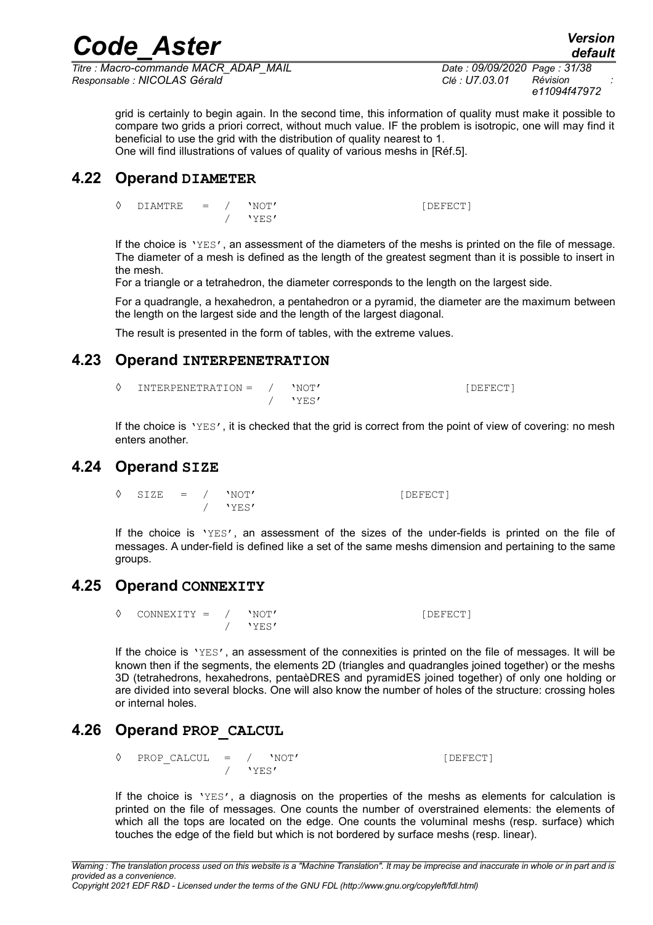*Code\_Aster Version Titre : Macro-commande MACR\_ADAP\_MAIL Date : 09/09/2020 Page : 31/38 Responsable : NICOLAS Gérald Clé : U7.03.01 Révision :*

*e11094f47972*

*default*

grid is certainly to begin again. In the second time, this information of quality must make it possible to compare two grids a priori correct, without much value. IF the problem is isotropic, one will may find it beneficial to use the grid with the distribution of quality nearest to 1. One will find illustrations of values of quality of various meshs in [Réf.5].

# **4.22 Operand DIAMETER**

◊ DIAMTRE = / 'NOT' [DEFECT] / 'YES'

If the choice is 'YES', an assessment of the diameters of the meshs is printed on the file of message. The diameter of a mesh is defined as the length of the greatest segment than it is possible to insert in the mesh.

For a triangle or a tetrahedron, the diameter corresponds to the length on the largest side.

For a quadrangle, a hexahedron, a pentahedron or a pyramid, the diameter are the maximum between the length on the largest side and the length of the largest diagonal.

The result is presented in the form of tables, with the extreme values.

# **4.23 Operand INTERPENETRATION**

| INTERPENETRATION = | $'$ NOT' | DEFECT! |
|--------------------|----------|---------|
|                    | 'VFR     |         |

If the choice is 'YES', it is checked that the grid is correct from the point of view of covering: no mesh enters another.

# **4.24 Operand SIZE**

◊ SIZE = / 'NOT' [DEFECT] / 'YES'

If the choice is 'YES', an assessment of the sizes of the under-fields is printed on the file of messages. A under-field is defined like a set of the same meshs dimension and pertaining to the same groups.

# **4.25 Operand CONNEXITY**

◊ CONNEXITY = / 'NOT' [DEFECT] / 'YES'

If the choice is 'YES', an assessment of the connexities is printed on the file of messages. It will be known then if the segments, the elements 2D (triangles and quadrangles joined together) or the meshs 3D (tetrahedrons, hexahedrons, pentaèDRES and pyramidES joined together) of only one holding or are divided into several blocks. One will also know the number of holes of the structure: crossing holes or internal holes.

# **4.26 Operand PROP\_CALCUL**

◊ PROP\_CALCUL = / 'NOT' [DEFECT] / 'YES'

If the choice is 'YES', a diagnosis on the properties of the meshs as elements for calculation is printed on the file of messages. One counts the number of overstrained elements: the elements of which all the tops are located on the edge. One counts the voluminal meshs (resp. surface) which touches the edge of the field but which is not bordered by surface meshs (resp. linear).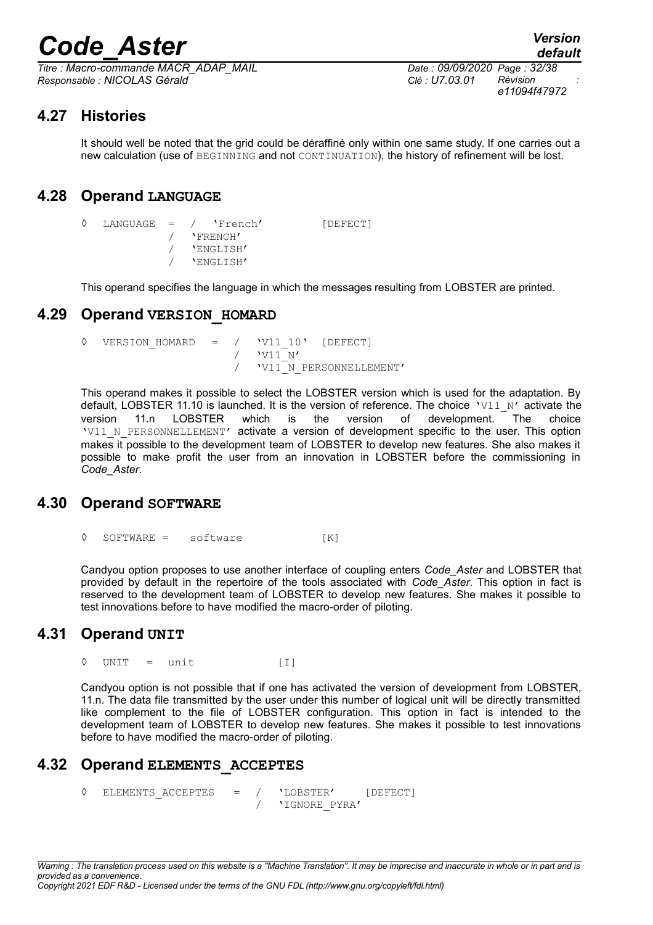*Titre : Macro-commande MACR\_ADAP\_MAIL Date : 09/09/2020 Page : 32/38 Responsable : NICOLAS Gérald Clé : U7.03.01 Révision :*

*e11094f47972*

# **4.27 Histories**

It should well be noted that the grid could be déraffiné only within one same study. If one carries out a new calculation (use of BEGINNING and not CONTINUATION), the history of refinement will be lost.

# **4.28 Operand LANGUAGE**

◊ LANGUAGE = / 'French' [DEFECT] / 'FRENCH' / 'ENGLISH' / 'ENGLISH'

This operand specifies the language in which the messages resulting from LOBSTER are printed.

# **4.29 Operand VERSION\_HOMARD**

```
◊ VERSION_HOMARD = / 'V11_10' [DEFECT]
                      \sqrt{V11_N'}/ V11 N PERSONNELLEMENT'
```
This operand makes it possible to select the LOBSTER version which is used for the adaptation. By default, LOBSTER 11.10 is launched. It is the version of reference. The choice 'V11 N' activate the version 11.n LOBSTER which is the version of development. The choice 'V11\_N\_PERSONNELLEMENT' activate a version of development specific to the user. This option makes it possible to the development team of LOBSTER to develop new features. She also makes it possible to make profit the user from an innovation in LOBSTER before the commissioning in *Code\_Aster*.

# **4.30 Operand SOFTWARE**

 $\Diamond$  SOFTWARE = software  $[K]$ 

Candyou option proposes to use another interface of coupling enters *Code\_Aster* and LOBSTER that provided by default in the repertoire of the tools associated with *Code\_Aster*. This option in fact is reserved to the development team of LOBSTER to develop new features. She makes it possible to test innovations before to have modified the macro-order of piloting.

# **4.31 Operand UNIT**

```
\Diamond UNIT = unit [I]
```
Candyou option is not possible that if one has activated the version of development from LOBSTER, 11.n. The data file transmitted by the user under this number of logical unit will be directly transmitted like complement to the file of LOBSTER configuration. This option in fact is intended to the development team of LOBSTER to develop new features. She makes it possible to test innovations before to have modified the macro-order of piloting.

# **4.32 Operand ELEMENTS\_ACCEPTES**

◊ ELEMENTS\_ACCEPTES = / 'LOBSTER' [DEFECT] / 'IGNORE\_PYRA'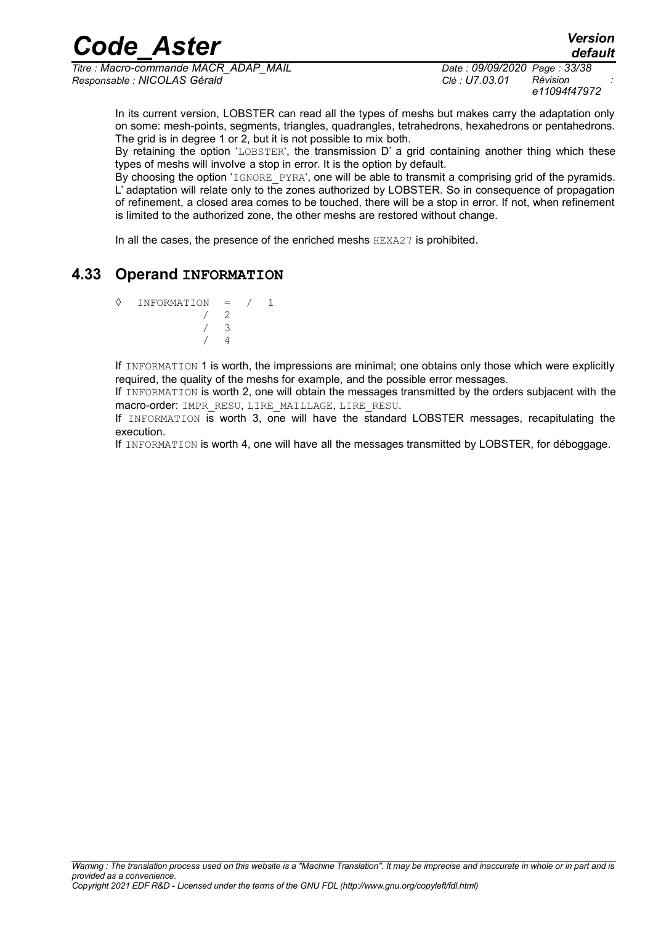*Titre : Macro-commande MACR\_ADAP\_MAIL Date : 09/09/2020 Page : 33/38 Responsable : NICOLAS Gérald Clé : U7.03.01 Révision :*

*e11094f47972*

In its current version, LOBSTER can read all the types of meshs but makes carry the adaptation only on some: mesh-points, segments, triangles, quadrangles, tetrahedrons, hexahedrons or pentahedrons. The grid is in degree 1 or 2, but it is not possible to mix both.

By retaining the option 'LOBSTER', the transmission D' a grid containing another thing which these types of meshs will involve a stop in error. It is the option by default.

 $\overrightarrow{B}$ y choosing the option ' $I$ GNORE\_PYRA', one will be able to transmit a comprising grid of the pyramids. L' adaptation will relate only to the zones authorized by LOBSTER. So in consequence of propagation of refinement, a closed area comes to be touched, there will be a stop in error. If not, when refinement is limited to the authorized zone, the other meshs are restored without change.

In all the cases, the presence of the enriched meshs  $HEXA27$  is prohibited.

# **4.33 Operand INFORMATION**

◊ INFORMATION = / 1 / 2 / 3  $/ 4$ 

If INFORMATION 1 is worth, the impressions are minimal; one obtains only those which were explicitly required, the quality of the meshs for example, and the possible error messages.

If INFORMATION is worth 2, one will obtain the messages transmitted by the orders subjacent with the macro-order: IMPR\_RESU, LIRE\_MAILLAGE, LIRE\_RESU.

If INFORMATION is worth 3, one will have the standard LOBSTER messages, recapitulating the execution.

If INFORMATION is worth 4, one will have all the messages transmitted by LOBSTER, for déboggage.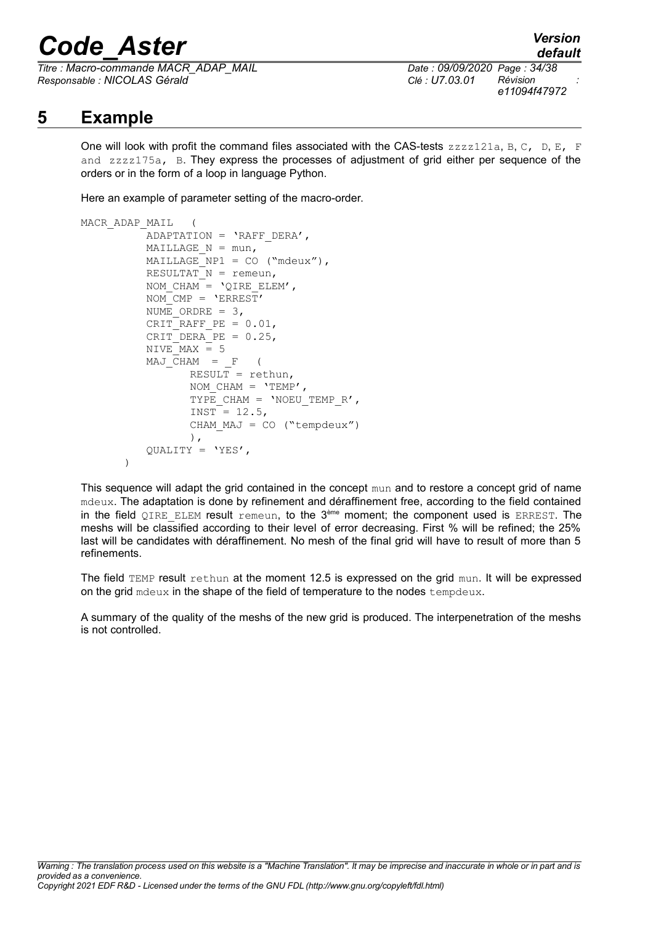*Titre : Macro-commande MACR\_ADAP\_MAIL Date : 09/09/2020 Page : 34/38 Responsable : NICOLAS Gérald Clé : U7.03.01 Révision :*

*default e11094f47972*

# **5 Example**

<span id="page-33-0"></span>One will look with profit the command files associated with the CAS-tests  $zzzz121a, B, C, D, E, F$ and zzzz175a, B. They express the processes of adjustment of grid either per sequence of the orders or in the form of a loop in language Python.

Here an example of parameter setting of the macro-order.

```
MACR_ADAP_MAIL (
          ADAPTATION = 'RAFF DERA',MAILLAGE N = \text{mun},
          MAILLAGE'NP1 = CO (Mmdevx''),RESULTAT N = remeun,
          NOM CHAM = \sqrt{QIRE} ELEM',
          NOM_CMP = 'ERREST'
          NUME ORDRE = 3,
          CRIT RAFF PE = 0.01,
          CRIT DERA PE = 0.25,
          NIVE MAX = 5MAJ CHAM = F (
                 RESULT = rethun,NOM\_CHAM = 'TEMP',
                 TYPE CHAM = 'NOEU TEMP R',
                 INST = 12.5,
                 CHAM MAJ = CO ("tempdeux")
                 ),
          QUALITY = 'YES',
       )
```
This sequence will adapt the grid contained in the concept mun and to restore a concept grid of name mdeux. The adaptation is done by refinement and déraffinement free, according to the field contained in the field  $OIRE$  ELEM result remeun, to the  $3^{em}$  moment; the component used is ERREST. The meshs will be classified according to their level of error decreasing. First % will be refined; the 25% last will be candidates with déraffinement. No mesh of the final grid will have to result of more than 5 refinements.

The field TEMP result rethun at the moment 12.5 is expressed on the grid mun. It will be expressed on the grid mdeux in the shape of the field of temperature to the nodes  $tempdevx$ .

A summary of the quality of the meshs of the new grid is produced. The interpenetration of the meshs is not controlled.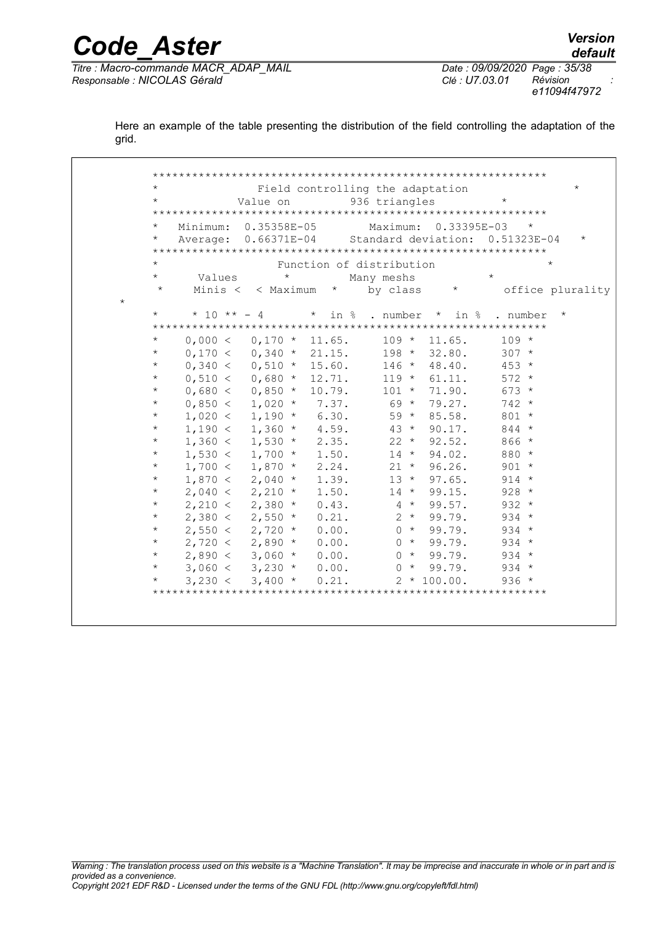| Titre : Macro-commande MACR ADAP MAIL |
|---------------------------------------|
| Responsable : NICOLAS Gérald          |

*default*

Here an example of the table presenting the distribution of the field controlling the adaptation of the grid.

*Code\_Aster Version*

 \*\*\*\*\*\*\*\*\*\*\*\*\*\*\*\*\*\*\*\*\*\*\*\*\*\*\*\*\*\*\*\*\*\*\*\*\*\*\*\*\*\*\*\*\*\*\*\*\*\*\*\*\*\*\*\*\*\*\*\* Field controlling the adaptation Value on 536 triangles \*\*\*\*\*\*\*\*\*\*\*\*\*\*\*\*\*\*\*\*\*\*\*\*\*\*\*\*\*\*\*\*\*\*\*\*\*\*\*\*\*\*\*\*\*\*\*\*\*\*\*\*\*\*\*\*\*\*\*\* \* Minimum: 0.35358E-05 Maximum: 0.33395E-03 \* \* Average: 0.66371E-04 \* Standard deviation: 0.51323E-04 \*\*\*\*\*\*\*\*\*\*\*\*\*\*\*\*\*\*\*\*\*\*\*\*\*\*\*\*\*\*\*\*\*\*\*\*\*\*\*\*\*\*\*\*\*\*\*\*\*\*\*\*\*\*\*\*\*\*\*\* Function of distribution \* Values \* Many meshs \* \* Minis < < Maximum \* by class \* office plurality \* \* \* 10 \*\* - 4 \* in % . number \* in % . number \* \*\*\*\*\*\*\*\*\*\*\*\*\*\*\*\*\*\*\*\*\*\*\*\*\*\*\*\*\*\*\*\*\*\*\*\*\*\*\*\*\*\*\*\*\*\*\*\*\*\*\*\*\*\*\*\*\*\*\*\* \* 0,000 < 0,170 \* 11.65. 109 \* 11.65. 109 \* \* 0,170 < 0,340 \* 21.15. 198 \* 32.80. 307 \* \* 0,340 < 0,510 \* 15.60. 146 \* 48.40. 453 \* \* 0,510 < 0,680 \* 12.71. 119 \* 61.11. 572 \* \* 0,680 < 0,850 \* 10.79. 101 \* 71.90. 673 \* \* 0,850 < 1,020 \* 7.37. 69 \* 79.27. 742 \* \* 1,020 < 1,190 \* 6.30. 59 \* 85.58. 801 \* \* 1,190 < 1,360 \* 4.59. 43 \* 90.17. 844 \* \* 1,360 < 1,530 \* 2.35. 22 \* 92.52. 866 \* \* 1,530 < 1,700 \* 1.50. 14 \* 94.02. 880 \* \* 1,700 < 1,870 \* 2.24. 21 \* 96.26. 901 \* \* 1,870 < 2,040 \* 1.39. 13 \* 97.65. 914 \* \* 2,040 < 2,210 \* 1.50. 14 \* 99.15. 928 \* \* 2,210 < 2,380 \* 0.43. 4 \* 99.57. 932 \* \* 2,380 < 2,550 \* 0.21. 2 \* 99.79. 934 \* \* 2,550 < 2,720 \* 0.00. 0 \* 99.79. 934 \*<br>\* 2,720 < 2,890 \* 0.00. 0 \* 99.79. 934 \* \* 2,720 < 2,890 \* 0.00. 0 \* 99.79. 934 \*<br>
\* 2,890 < 3,060 \* 0.00. 0 \* 99.79. 934 \* \* 2,890 < 3,060 \* 0.00. 0 \* 99.79. 934 \*<br>\* 3,060 < 3,230 \* 0.00. 0 \* 99.79. 934 \* \* 3,060 < 3,230 \* 0.00. 0 \* 99.79. 934 \* \* 3,230 < 3,400 \* 0.21. 2 \* 100.00. 936 \* \*\*\*\*\*\*\*\*\*\*\*\*\*\*\*\*\*\*\*\*\*\*\*\*\*\*\*\*\*\*\*\*\*\*\*\*\*\*\*\*\*\*\*\*\*\*\*\*\*\*\*\*\*\*\*\*\*\*\*\*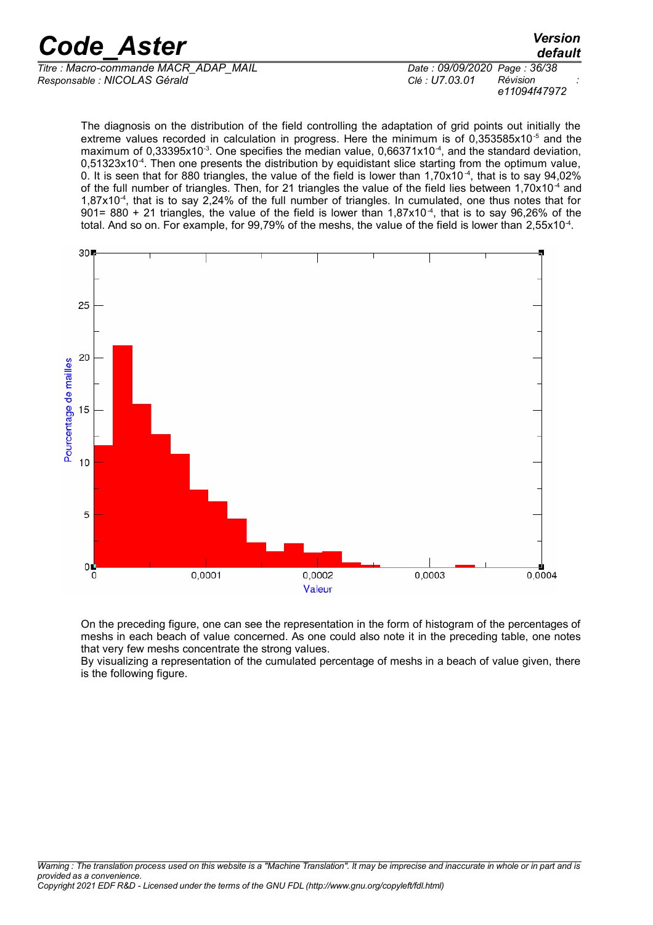*Titre : Macro-commande MACR\_ADAP\_MAIL Date : 09/09/2020 Page : 36/38 Responsable : NICOLAS Gérald Clé : U7.03.01 Révision :*

*e11094f47972*

*default*

The diagnosis on the distribution of the field controlling the adaptation of grid points out initially the extreme values recorded in calculation in progress. Here the minimum is of 0,353585x10<sup>-5</sup> and the maximum of  $0.33395x10^{-3}$ . One specifies the median value,  $0.66371x10^{-4}$ , and the standard deviation,  $0.51323x10<sup>-4</sup>$ . Then one presents the distribution by equidistant slice starting from the optimum value, 0. It is seen that for 880 triangles, the value of the field is lower than  $1,70x10^{-4}$ , that is to say 94,02% of the full number of triangles. Then, for 21 triangles the value of the field lies between 1,70x10-4 and 1,87x10-4, that is to say 2,24% of the full number of triangles. In cumulated, one thus notes that for 901= 880 + 21 triangles, the value of the field is lower than  $1,87x10^{-4}$ , that is to say 96,26% of the total. And so on. For example, for 99,79% of the meshs, the value of the field is lower than 2,55x10<sup>-4</sup>.



On the preceding figure, one can see the representation in the form of histogram of the percentages of meshs in each beach of value concerned. As one could also note it in the preceding table, one notes that very few meshs concentrate the strong values.

By visualizing a representation of the cumulated percentage of meshs in a beach of value given, there is the following figure.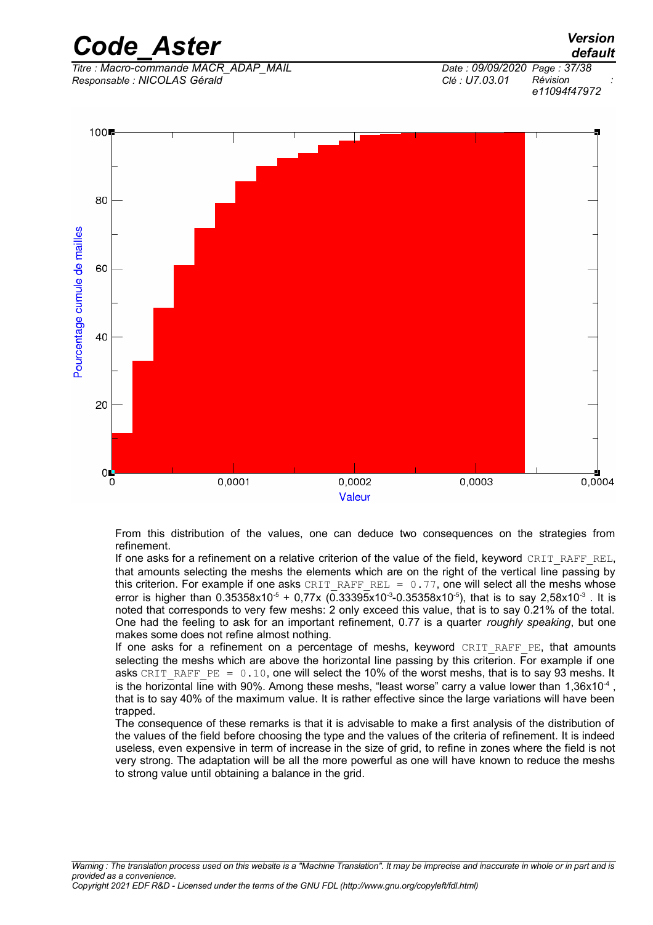*Titre : Macro-commande MACR\_ADAP\_MAIL Date : 09/09/2020 Page : 37/38 Responsable : NICOLAS Gérald Clé : U7.03.01 Révision :*

*e11094f47972*

*default*



*Code\_Aster Version*

From this distribution of the values, one can deduce two consequences on the strategies from refinement.

If one asks for a refinement on a relative criterion of the value of the field, keyword CRIT\_RAFF\_REL, that amounts selecting the meshs the elements which are on the right of the vertical line passing by this criterion. For example if one asks CRIT\_RAFF\_REL =  $0.77$ , one will select all the meshs whose error is higher than  $0.35358x10^{-5} + 0.77x$  (0.33395x10<sup>-3</sup>-0.35358x10<sup>-5</sup>), that is to say 2,58x10<sup>-3</sup>. It is noted that corresponds to very few meshs: 2 only exceed this value, that is to say 0.21% of the total. One had the feeling to ask for an important refinement, 0.77 is a quarter *roughly speaking*, but one makes some does not refine almost nothing.

If one asks for a refinement on a percentage of meshs, keyword CRIT RAFF PE, that amounts selecting the meshs which are above the horizontal line passing by this criterion. For example if one asks CRIT\_RAFF\_PE =  $0.10$ , one will select the 10% of the worst meshs, that is to say 93 meshs. It is the horizontal line with 90%. Among these meshs, "least worse" carry a value lower than 1,36x10<sup>-4</sup>, that is to say 40% of the maximum value. It is rather effective since the large variations will have been trapped.

The consequence of these remarks is that it is advisable to make a first analysis of the distribution of the values of the field before choosing the type and the values of the criteria of refinement. It is indeed useless, even expensive in term of increase in the size of grid, to refine in zones where the field is not very strong. The adaptation will be all the more powerful as one will have known to reduce the meshs to strong value until obtaining a balance in the grid.